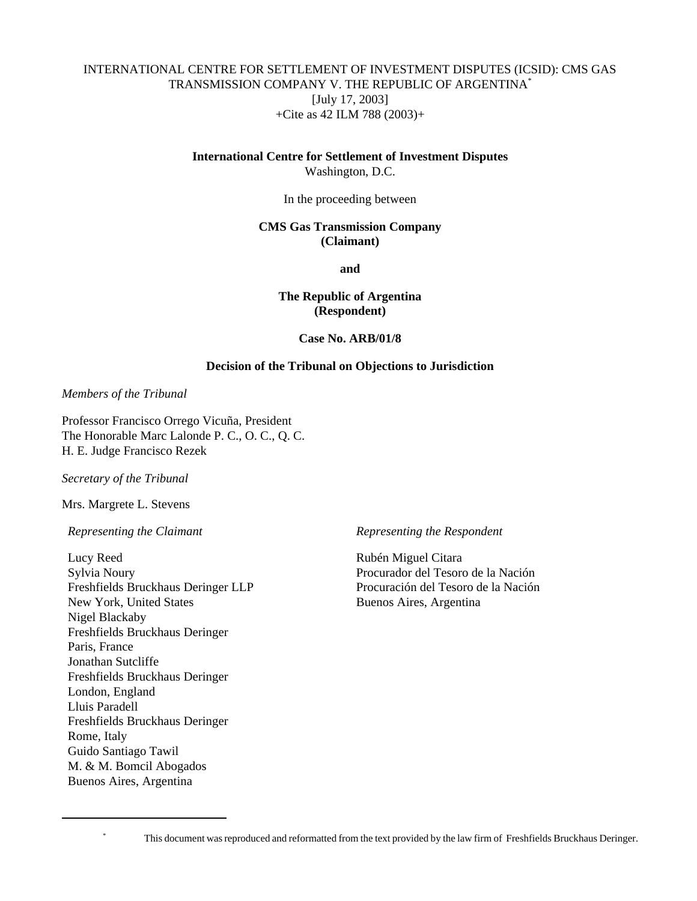# INTERNATIONAL CENTRE FOR SETTLEMENT OF INVESTMENT DISPUTES (ICSID): CMS GAS TRANSMISSION COMPANY V. THE REPUBLIC OF ARGENTINA\* [July 17, 2003] +Cite as 42 ILM 788 (2003)+

#### **International Centre for Settlement of Investment Disputes** Washington, D.C.

In the proceeding between

### **CMS Gas Transmission Company (Claimant)**

**and**

**The Republic of Argentina (Respondent)**

#### **Case No. ARB/01/8**

#### **Decision of the Tribunal on Objections to Jurisdiction**

*Members of the Tribunal*

Professor Francisco Orrego Vicuña, President The Honorable Marc Lalonde P. C., O. C., Q. C. H. E. Judge Francisco Rezek

*Secretary of the Tribunal*

Mrs. Margrete L. Stevens

*Representing the Claimant*

Lucy Reed Sylvia Noury Freshfields Bruckhaus Deringer LLP New York, United States Nigel Blackaby Freshfields Bruckhaus Deringer Paris, France Jonathan Sutcliffe Freshfields Bruckhaus Deringer London, England Lluis Paradell Freshfields Bruckhaus Deringer Rome, Italy Guido Santiago Tawil M. & M. Bomcil Abogados Buenos Aires, Argentina

*Representing the Respondent*

Rubén Miguel Citara Procurador del Tesoro de la Nación Procuración del Tesoro de la Nación Buenos Aires, Argentina

This document was reproduced and reformatted from the text provided by the law firm of Freshfields Bruckhaus Deringer.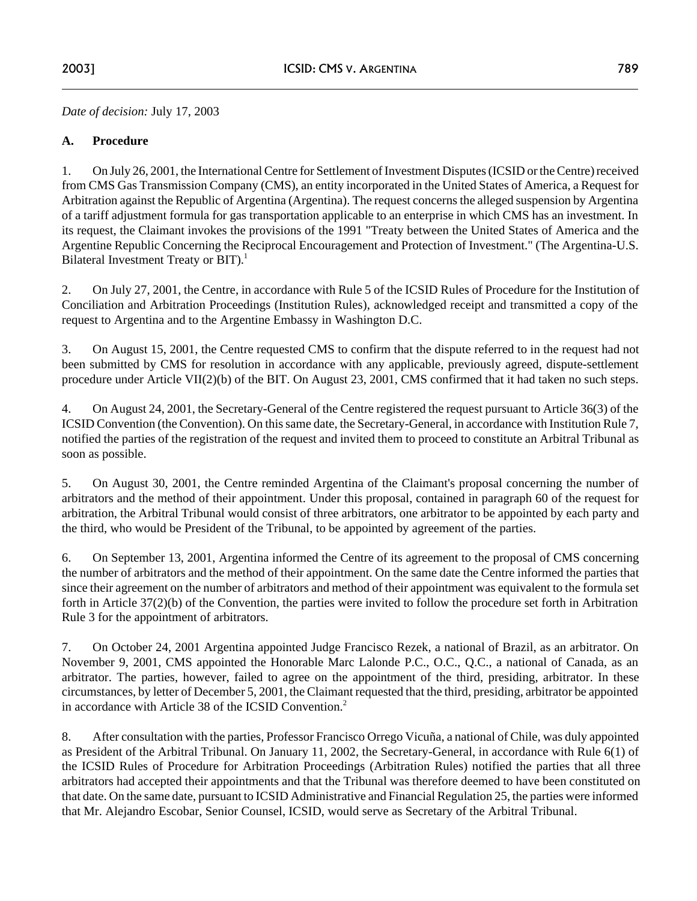*Date of decision:* July 17, 2003

## **A. Procedure**

1. On July 26, 2001, the International Centre for Settlement of Investment Disputes (ICSID or the Centre) received from CMS Gas Transmission Company (CMS), an entity incorporated in the United States of America, a Request for Arbitration against the Republic of Argentina (Argentina). The request concerns the alleged suspension by Argentina of a tariff adjustment formula for gas transportation applicable to an enterprise in which CMS has an investment. In its request, the Claimant invokes the provisions of the 1991 "Treaty between the United States of America and the Argentine Republic Concerning the Reciprocal Encouragement and Protection of Investment." (The Argentina-U.S. Bilateral Investment Treaty or  $BIT$ ).<sup>1</sup>

2. On July 27, 2001, the Centre, in accordance with Rule 5 of the ICSID Rules of Procedure for the Institution of Conciliation and Arbitration Proceedings (Institution Rules), acknowledged receipt and transmitted a copy of the request to Argentina and to the Argentine Embassy in Washington D.C.

3. On August 15, 2001, the Centre requested CMS to confirm that the dispute referred to in the request had not been submitted by CMS for resolution in accordance with any applicable, previously agreed, dispute-settlement procedure under Article VII(2)(b) of the BIT. On August 23, 2001, CMS confirmed that it had taken no such steps.

4. On August 24, 2001, the Secretary-General of the Centre registered the request pursuant to Article 36(3) of the ICSID Convention (the Convention). On this same date, the Secretary-General, in accordance with Institution Rule 7, notified the parties of the registration of the request and invited them to proceed to constitute an Arbitral Tribunal as soon as possible.

5. On August 30, 2001, the Centre reminded Argentina of the Claimant's proposal concerning the number of arbitrators and the method of their appointment. Under this proposal, contained in paragraph 60 of the request for arbitration, the Arbitral Tribunal would consist of three arbitrators, one arbitrator to be appointed by each party and the third, who would be President of the Tribunal, to be appointed by agreement of the parties.

6. On September 13, 2001, Argentina informed the Centre of its agreement to the proposal of CMS concerning the number of arbitrators and the method of their appointment. On the same date the Centre informed the parties that since their agreement on the number of arbitrators and method of their appointment was equivalent to the formula set forth in Article 37(2)(b) of the Convention, the parties were invited to follow the procedure set forth in Arbitration Rule 3 for the appointment of arbitrators.

7. On October 24, 2001 Argentina appointed Judge Francisco Rezek, a national of Brazil, as an arbitrator. On November 9, 2001, CMS appointed the Honorable Marc Lalonde P.C., O.C., Q.C., a national of Canada, as an arbitrator. The parties, however, failed to agree on the appointment of the third, presiding, arbitrator. In these circumstances, by letter of December 5, 2001, the Claimant requested that the third, presiding, arbitrator be appointed in accordance with Article 38 of the ICSID Convention.<sup>2</sup>

8. After consultation with the parties, Professor Francisco Orrego Vicuña, a national of Chile, was duly appointed as President of the Arbitral Tribunal. On January 11, 2002, the Secretary-General, in accordance with Rule 6(1) of the ICSID Rules of Procedure for Arbitration Proceedings (Arbitration Rules) notified the parties that all three arbitrators had accepted their appointments and that the Tribunal was therefore deemed to have been constituted on that date. On the same date, pursuant to ICSID Administrative and Financial Regulation 25, the parties were informed that Mr. Alejandro Escobar, Senior Counsel, ICSID, would serve as Secretary of the Arbitral Tribunal.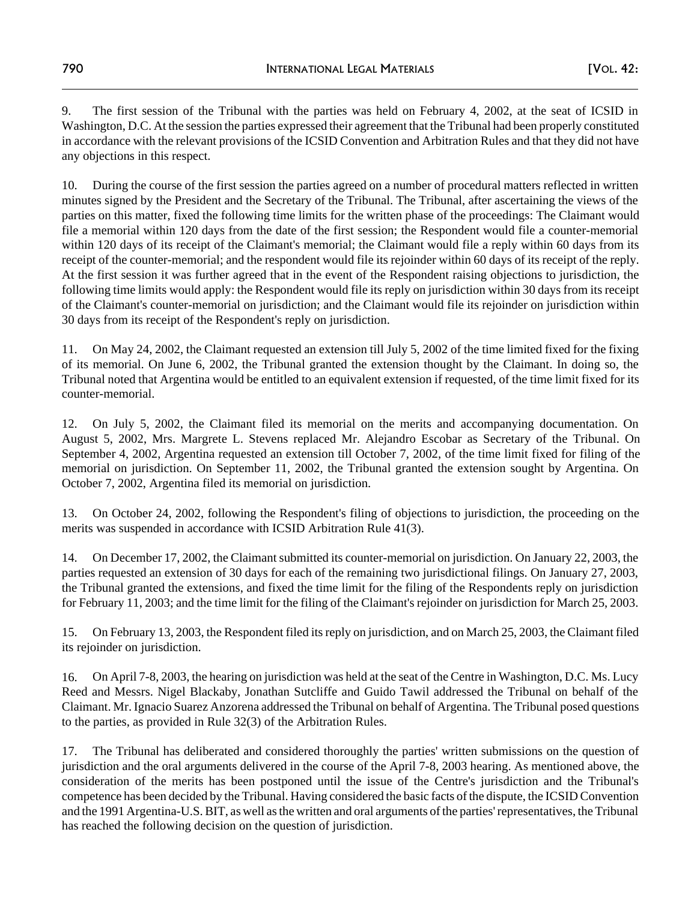9. The first session of the Tribunal with the parties was held on February 4, 2002, at the seat of ICSID in Washington, D.C. At the session the parties expressed their agreement that the Tribunal had been properly constituted in accordance with the relevant provisions of the ICSID Convention and Arbitration Rules and that they did not have any objections in this respect.

10. During the course of the first session the parties agreed on a number of procedural matters reflected in written minutes signed by the President and the Secretary of the Tribunal. The Tribunal, after ascertaining the views of the parties on this matter, fixed the following time limits for the written phase of the proceedings: The Claimant would file a memorial within 120 days from the date of the first session; the Respondent would file a counter-memorial within 120 days of its receipt of the Claimant's memorial; the Claimant would file a reply within 60 days from its receipt of the counter-memorial; and the respondent would file its rejoinder within 60 days of its receipt of the reply. At the first session it was further agreed that in the event of the Respondent raising objections to jurisdiction, the following time limits would apply: the Respondent would file its reply on jurisdiction within 30 days from its receipt of the Claimant's counter-memorial on jurisdiction; and the Claimant would file its rejoinder on jurisdiction within 30 days from its receipt of the Respondent's reply on jurisdiction.

11. On May 24, 2002, the Claimant requested an extension till July 5, 2002 of the time limited fixed for the fixing of its memorial. On June 6, 2002, the Tribunal granted the extension thought by the Claimant. In doing so, the Tribunal noted that Argentina would be entitled to an equivalent extension if requested, of the time limit fixed for its counter-memorial.

12. On July 5, 2002, the Claimant filed its memorial on the merits and accompanying documentation. On August 5, 2002, Mrs. Margrete L. Stevens replaced Mr. Alejandro Escobar as Secretary of the Tribunal. On September 4, 2002, Argentina requested an extension till October 7, 2002, of the time limit fixed for filing of the memorial on jurisdiction. On September 11, 2002, the Tribunal granted the extension sought by Argentina. On October 7, 2002, Argentina filed its memorial on jurisdiction.

13. On October 24, 2002, following the Respondent's filing of objections to jurisdiction, the proceeding on the merits was suspended in accordance with ICSID Arbitration Rule 41(3).

14. On December 17, 2002, the Claimant submitted its counter-memorial on jurisdiction. On January 22, 2003, the parties requested an extension of 30 days for each of the remaining two jurisdictional filings. On January 27, 2003, the Tribunal granted the extensions, and fixed the time limit for the filing of the Respondents reply on jurisdiction for February 11, 2003; and the time limit for the filing of the Claimant's rejoinder on jurisdiction for March 25, 2003.

15. On February 13, 2003, the Respondent filed its reply on jurisdiction, and on March 25, 2003, the Claimant filed its rejoinder on jurisdiction.

16. On April 7-8, 2003, the hearing on jurisdiction was held at the seat of the Centre in Washington, D.C. Ms. Lucy Reed and Messrs. Nigel Blackaby, Jonathan Sutcliffe and Guido Tawil addressed the Tribunal on behalf of the Claimant. Mr. Ignacio Suarez Anzorena addressed the Tribunal on behalf of Argentina. The Tribunal posed questions to the parties, as provided in Rule 32(3) of the Arbitration Rules.

17. The Tribunal has deliberated and considered thoroughly the parties' written submissions on the question of jurisdiction and the oral arguments delivered in the course of the April 7-8, 2003 hearing. As mentioned above, the consideration of the merits has been postponed until the issue of the Centre's jurisdiction and the Tribunal's competence has been decided by the Tribunal. Having considered the basic facts of the dispute, the ICSID Convention and the 1991 Argentina-U.S. BIT, as well as the written and oral arguments of the parties' representatives, the Tribunal has reached the following decision on the question of jurisdiction.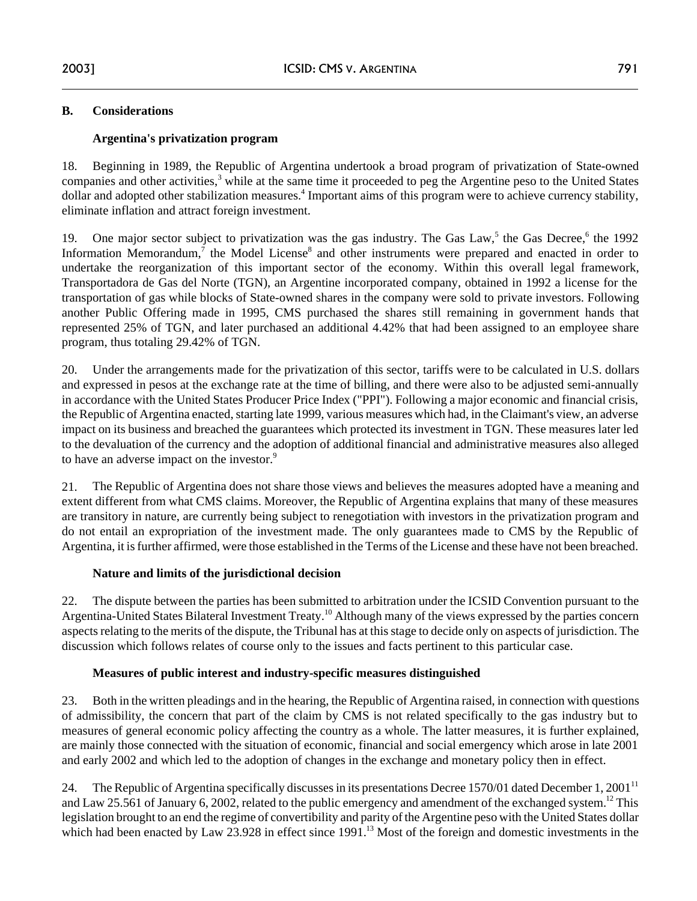## **B. Considerations**

### **Argentina's privatization program**

18. Beginning in 1989, the Republic of Argentina undertook a broad program of privatization of State-owned companies and other activities,<sup>3</sup> while at the same time it proceeded to peg the Argentine peso to the United States dollar and adopted other stabilization measures.<sup>4</sup> Important aims of this program were to achieve currency stability, eliminate inflation and attract foreign investment.

19. One major sector subject to privatization was the gas industry. The Gas Law,<sup>5</sup> the Gas Decree,<sup>6</sup> the 1992 Information Memorandum,<sup>7</sup> the Model License<sup>8</sup> and other instruments were prepared and enacted in order to undertake the reorganization of this important sector of the economy. Within this overall legal framework, Transportadora de Gas del Norte (TGN), an Argentine incorporated company, obtained in 1992 a license for the transportation of gas while blocks of State-owned shares in the company were sold to private investors. Following another Public Offering made in 1995, CMS purchased the shares still remaining in government hands that represented 25% of TGN, and later purchased an additional 4.42% that had been assigned to an employee share program, thus totaling 29.42% of TGN.

20. Under the arrangements made for the privatization of this sector, tariffs were to be calculated in U.S. dollars and expressed in pesos at the exchange rate at the time of billing, and there were also to be adjusted semi-annually in accordance with the United States Producer Price Index ("PPI"). Following a major economic and financial crisis, the Republic of Argentina enacted, starting late 1999, various measures which had, in the Claimant's view, an adverse impact on its business and breached the guarantees which protected its investment in TGN. These measures later led to the devaluation of the currency and the adoption of additional financial and administrative measures also alleged to have an adverse impact on the investor.<sup>9</sup>

21. The Republic of Argentina does not share those views and believes the measures adopted have a meaning and extent different from what CMS claims. Moreover, the Republic of Argentina explains that many of these measures are transitory in nature, are currently being subject to renegotiation with investors in the privatization program and do not entail an expropriation of the investment made. The only guarantees made to CMS by the Republic of Argentina, it is further affirmed, were those established in the Terms of the License and these have not been breached.

### **Nature and limits of the jurisdictional decision**

22. The dispute between the parties has been submitted to arbitration under the ICSID Convention pursuant to the Argentina-United States Bilateral Investment Treaty.<sup>10</sup> Although many of the views expressed by the parties concern aspects relating to the merits of the dispute, the Tribunal has at this stage to decide only on aspects of jurisdiction. The discussion which follows relates of course only to the issues and facts pertinent to this particular case.

# **Measures of public interest and industry-specific measures distinguished**

23. Both in the written pleadings and in the hearing, the Republic of Argentina raised, in connection with questions of admissibility, the concern that part of the claim by CMS is not related specifically to the gas industry but to measures of general economic policy affecting the country as a whole. The latter measures, it is further explained, are mainly those connected with the situation of economic, financial and social emergency which arose in late 2001 and early 2002 and which led to the adoption of changes in the exchange and monetary policy then in effect.

24. The Republic of Argentina specifically discusses in its presentations Decree 1570/01 dated December 1, 2001<sup>11</sup> and Law 25.561 of January 6, 2002, related to the public emergency and amendment of the exchanged system.<sup>12</sup> This legislation brought to an end the regime of convertibility and parity of the Argentine peso with the United States dollar which had been enacted by Law 23.928 in effect since 1991.<sup>13</sup> Most of the foreign and domestic investments in the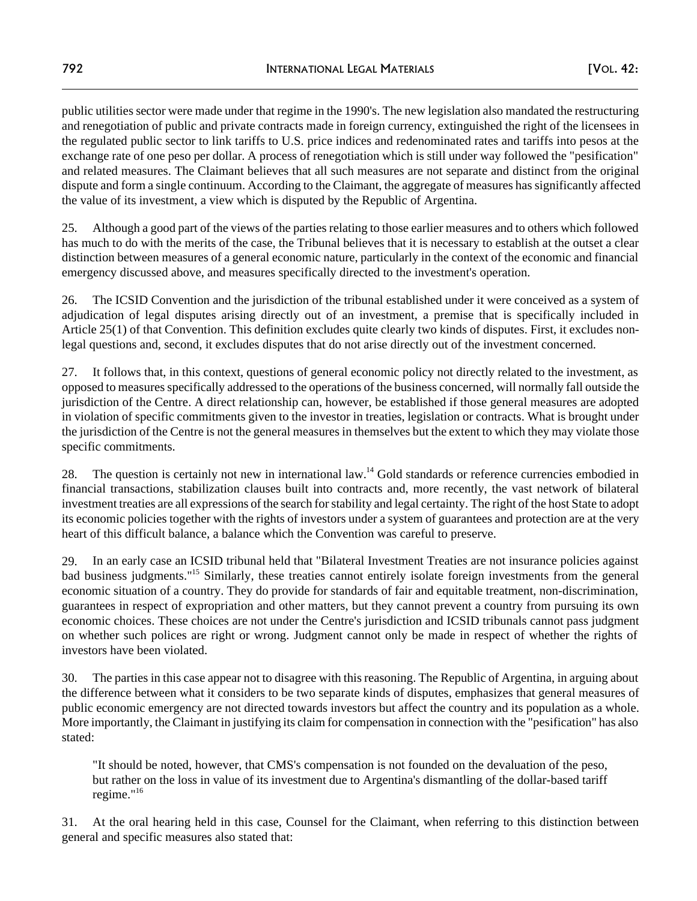public utilities sector were made under that regime in the 1990's. The new legislation also mandated the restructuring and renegotiation of public and private contracts made in foreign currency, extinguished the right of the licensees in the regulated public sector to link tariffs to U.S. price indices and redenominated rates and tariffs into pesos at the exchange rate of one peso per dollar. A process of renegotiation which is still under way followed the "pesification" and related measures. The Claimant believes that all such measures are not separate and distinct from the original dispute and form a single continuum. According to the Claimant, the aggregate of measures has significantly affected the value of its investment, a view which is disputed by the Republic of Argentina.

25. Although a good part of the views of the parties relating to those earlier measures and to others which followed has much to do with the merits of the case, the Tribunal believes that it is necessary to establish at the outset a clear distinction between measures of a general economic nature, particularly in the context of the economic and financial emergency discussed above, and measures specifically directed to the investment's operation.

26. The ICSID Convention and the jurisdiction of the tribunal established under it were conceived as a system of adjudication of legal disputes arising directly out of an investment, a premise that is specifically included in Article 25(1) of that Convention. This definition excludes quite clearly two kinds of disputes. First, it excludes nonlegal questions and, second, it excludes disputes that do not arise directly out of the investment concerned.

27. It follows that, in this context, questions of general economic policy not directly related to the investment, as opposed to measures specifically addressed to the operations of the business concerned, will normally fall outside the jurisdiction of the Centre. A direct relationship can, however, be established if those general measures are adopted in violation of specific commitments given to the investor in treaties, legislation or contracts. What is brought under the jurisdiction of the Centre is not the general measures in themselves but the extent to which they may violate those specific commitments.

28. The question is certainly not new in international law.<sup>14</sup> Gold standards or reference currencies embodied in financial transactions, stabilization clauses built into contracts and, more recently, the vast network of bilateral investment treaties are all expressions of the search for stability and legal certainty. The right of the host State to adopt its economic policies together with the rights of investors under a system of guarantees and protection are at the very heart of this difficult balance, a balance which the Convention was careful to preserve.

29. In an early case an ICSID tribunal held that "Bilateral Investment Treaties are not insurance policies against bad business judgments."15 Similarly, these treaties cannot entirely isolate foreign investments from the general economic situation of a country. They do provide for standards of fair and equitable treatment, non-discrimination, guarantees in respect of expropriation and other matters, but they cannot prevent a country from pursuing its own economic choices. These choices are not under the Centre's jurisdiction and ICSID tribunals cannot pass judgment on whether such polices are right or wrong. Judgment cannot only be made in respect of whether the rights of investors have been violated.

30. The parties in this case appear not to disagree with this reasoning. The Republic of Argentina, in arguing about the difference between what it considers to be two separate kinds of disputes, emphasizes that general measures of public economic emergency are not directed towards investors but affect the country and its population as a whole. More importantly, the Claimant in justifying its claim for compensation in connection with the "pesification" has also stated:

"It should be noted, however, that CMS's compensation is not founded on the devaluation of the peso, but rather on the loss in value of its investment due to Argentina's dismantling of the dollar-based tariff regime."16

31. At the oral hearing held in this case, Counsel for the Claimant, when referring to this distinction between general and specific measures also stated that: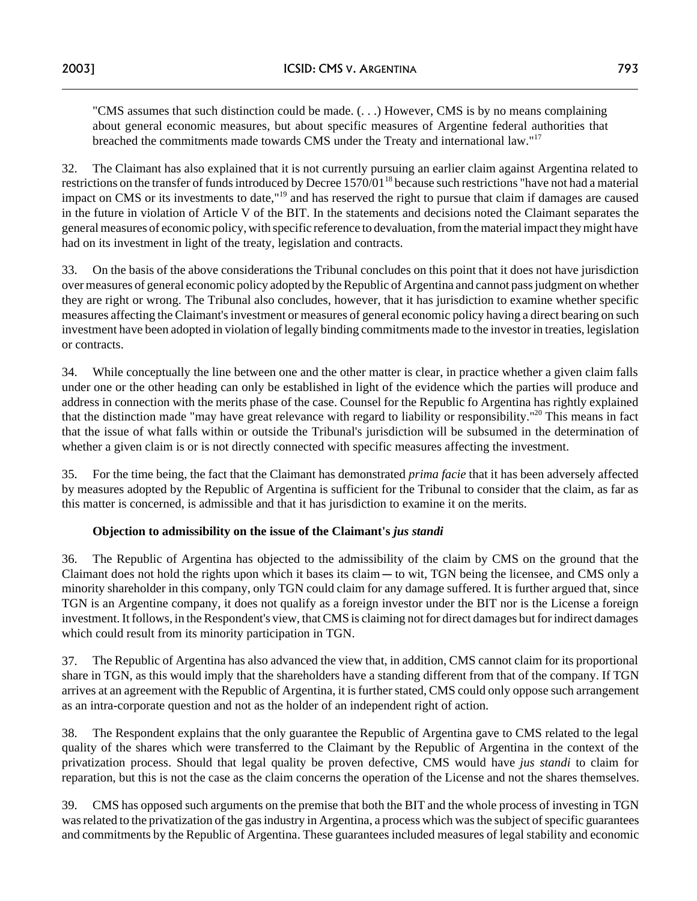"CMS assumes that such distinction could be made. (. . .) However, CMS is by no means complaining about general economic measures, but about specific measures of Argentine federal authorities that breached the commitments made towards CMS under the Treaty and international law."<sup>17</sup>

32. The Claimant has also explained that it is not currently pursuing an earlier claim against Argentina related to restrictions on the transfer of funds introduced by Decree 1570/0118 because such restrictions "have not had a material impact on CMS or its investments to date,"<sup>19</sup> and has reserved the right to pursue that claim if damages are caused in the future in violation of Article V of the BIT. In the statements and decisions noted the Claimant separates the general measures of economic policy, with specific reference to devaluation, from the material impact they might have had on its investment in light of the treaty, legislation and contracts.

33. On the basis of the above considerations the Tribunal concludes on this point that it does not have jurisdiction over measures of general economic policy adopted by the Republic of Argentina and cannot pass judgment on whether they are right or wrong. The Tribunal also concludes, however, that it has jurisdiction to examine whether specific measures affecting the Claimant's investment or measures of general economic policy having a direct bearing on such investment have been adopted in violation of legally binding commitments made to the investor in treaties, legislation or contracts.

34. While conceptually the line between one and the other matter is clear, in practice whether a given claim falls under one or the other heading can only be established in light of the evidence which the parties will produce and address in connection with the merits phase of the case. Counsel for the Republic fo Argentina has rightly explained that the distinction made "may have great relevance with regard to liability or responsibility."20 This means in fact that the issue of what falls within or outside the Tribunal's jurisdiction will be subsumed in the determination of whether a given claim is or is not directly connected with specific measures affecting the investment.

35. For the time being, the fact that the Claimant has demonstrated *prima facie* that it has been adversely affected by measures adopted by the Republic of Argentina is sufficient for the Tribunal to consider that the claim, as far as this matter is concerned, is admissible and that it has jurisdiction to examine it on the merits.

# **Objection to admissibility on the issue of the Claimant's** *jus standi*

36. The Republic of Argentina has objected to the admissibility of the claim by CMS on the ground that the Claimant does not hold the rights upon which it bases its claim  $-$  to wit, TGN being the licensee, and CMS only a minority shareholder in this company, only TGN could claim for any damage suffered. It is further argued that, since TGN is an Argentine company, it does not qualify as a foreign investor under the BIT nor is the License a foreign investment. It follows, in the Respondent's view, that CMS is claiming not for direct damages but for indirect damages which could result from its minority participation in TGN.

37. The Republic of Argentina has also advanced the view that, in addition, CMS cannot claim for its proportional share in TGN, as this would imply that the shareholders have a standing different from that of the company. If TGN arrives at an agreement with the Republic of Argentina, it is further stated, CMS could only oppose such arrangement as an intra-corporate question and not as the holder of an independent right of action.

38. The Respondent explains that the only guarantee the Republic of Argentina gave to CMS related to the legal quality of the shares which were transferred to the Claimant by the Republic of Argentina in the context of the privatization process. Should that legal quality be proven defective, CMS would have *jus standi* to claim for reparation, but this is not the case as the claim concerns the operation of the License and not the shares themselves.

39. CMS has opposed such arguments on the premise that both the BIT and the whole process of investing in TGN was related to the privatization of the gas industry in Argentina, a process which was the subject of specific guarantees and commitments by the Republic of Argentina. These guarantees included measures of legal stability and economic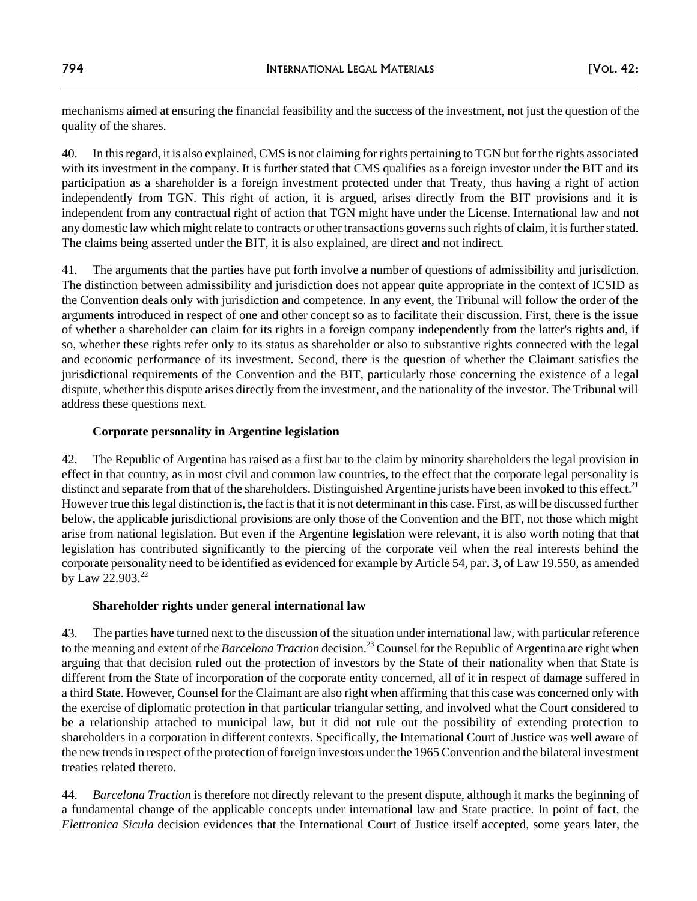mechanisms aimed at ensuring the financial feasibility and the success of the investment, not just the question of the quality of the shares.

40. In this regard, it is also explained, CMS is not claiming for rights pertaining to TGN but for the rights associated with its investment in the company. It is further stated that CMS qualifies as a foreign investor under the BIT and its participation as a shareholder is a foreign investment protected under that Treaty, thus having a right of action independently from TGN. This right of action, it is argued, arises directly from the BIT provisions and it is independent from any contractual right of action that TGN might have under the License. International law and not any domestic law which might relate to contracts or other transactions governs such rights of claim, it is further stated. The claims being asserted under the BIT, it is also explained, are direct and not indirect.

41. The arguments that the parties have put forth involve a number of questions of admissibility and jurisdiction. The distinction between admissibility and jurisdiction does not appear quite appropriate in the context of ICSID as the Convention deals only with jurisdiction and competence. In any event, the Tribunal will follow the order of the arguments introduced in respect of one and other concept so as to facilitate their discussion. First, there is the issue of whether a shareholder can claim for its rights in a foreign company independently from the latter's rights and, if so, whether these rights refer only to its status as shareholder or also to substantive rights connected with the legal and economic performance of its investment. Second, there is the question of whether the Claimant satisfies the jurisdictional requirements of the Convention and the BIT, particularly those concerning the existence of a legal dispute, whether this dispute arises directly from the investment, and the nationality of the investor. The Tribunal will address these questions next.

### **Corporate personality in Argentine legislation**

42. The Republic of Argentina has raised as a first bar to the claim by minority shareholders the legal provision in effect in that country, as in most civil and common law countries, to the effect that the corporate legal personality is distinct and separate from that of the shareholders. Distinguished Argentine jurists have been invoked to this effect.<sup>21</sup> However true this legal distinction is, the fact is that it is not determinant in this case. First, as will be discussed further below, the applicable jurisdictional provisions are only those of the Convention and the BIT, not those which might arise from national legislation. But even if the Argentine legislation were relevant, it is also worth noting that that legislation has contributed significantly to the piercing of the corporate veil when the real interests behind the corporate personality need to be identified as evidenced for example by Article 54, par. 3, of Law 19.550, as amended by Law 22.903.<sup>22</sup>

#### **Shareholder rights under general international law**

43. The parties have turned next to the discussion of the situation under international law, with particular reference to the meaning and extent of the *Barcelona Traction* decision.<sup>23</sup> Counsel for the Republic of Argentina are right when arguing that that decision ruled out the protection of investors by the State of their nationality when that State is different from the State of incorporation of the corporate entity concerned, all of it in respect of damage suffered in a third State. However, Counsel for the Claimant are also right when affirming that this case was concerned only with the exercise of diplomatic protection in that particular triangular setting, and involved what the Court considered to be a relationship attached to municipal law, but it did not rule out the possibility of extending protection to shareholders in a corporation in different contexts. Specifically, the International Court of Justice was well aware of the new trends in respect of the protection of foreign investors under the 1965 Convention and the bilateral investment treaties related thereto.

44. *Barcelona Traction* is therefore not directly relevant to the present dispute, although it marks the beginning of a fundamental change of the applicable concepts under international law and State practice. In point of fact, the *Elettronica Sicula* decision evidences that the International Court of Justice itself accepted, some years later, the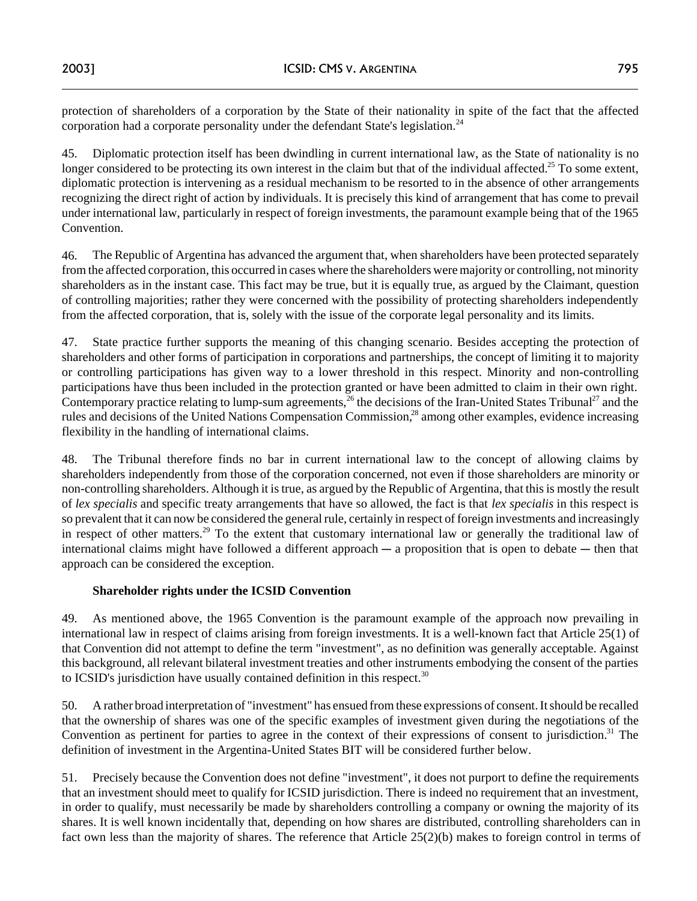protection of shareholders of a corporation by the State of their nationality in spite of the fact that the affected corporation had a corporate personality under the defendant State's legislation.<sup>24</sup>

45. Diplomatic protection itself has been dwindling in current international law, as the State of nationality is no longer considered to be protecting its own interest in the claim but that of the individual affected.<sup>25</sup> To some extent, diplomatic protection is intervening as a residual mechanism to be resorted to in the absence of other arrangements recognizing the direct right of action by individuals. It is precisely this kind of arrangement that has come to prevail under international law, particularly in respect of foreign investments, the paramount example being that of the 1965 Convention.

46. The Republic of Argentina has advanced the argument that, when shareholders have been protected separately from the affected corporation, this occurred in cases where the shareholders were majority or controlling, not minority shareholders as in the instant case. This fact may be true, but it is equally true, as argued by the Claimant, question of controlling majorities; rather they were concerned with the possibility of protecting shareholders independently from the affected corporation, that is, solely with the issue of the corporate legal personality and its limits.

47. State practice further supports the meaning of this changing scenario. Besides accepting the protection of shareholders and other forms of participation in corporations and partnerships, the concept of limiting it to majority or controlling participations has given way to a lower threshold in this respect. Minority and non-controlling participations have thus been included in the protection granted or have been admitted to claim in their own right. Contemporary practice relating to lump-sum agreements, $26$  the decisions of the Iran-United States Tribunal<sup>27</sup> and the rules and decisions of the United Nations Compensation Commission,28 among other examples, evidence increasing flexibility in the handling of international claims.

48. The Tribunal therefore finds no bar in current international law to the concept of allowing claims by shareholders independently from those of the corporation concerned, not even if those shareholders are minority or non-controlling shareholders. Although it is true, as argued by the Republic of Argentina, that this is mostly the result of *lex specialis* and specific treaty arrangements that have so allowed, the fact is that *lex specialis* in this respect is so prevalent that it can now be considered the general rule, certainly in respect of foreign investments and increasingly in respect of other matters.<sup>29</sup> To the extent that customary international law or generally the traditional law of international claims might have followed a different approach  $-$  a proposition that is open to debate  $-$  then that approach can be considered the exception.

# **Shareholder rights under the ICSID Convention**

49. As mentioned above, the 1965 Convention is the paramount example of the approach now prevailing in international law in respect of claims arising from foreign investments. It is a well-known fact that Article 25(1) of that Convention did not attempt to define the term "investment", as no definition was generally acceptable. Against this background, all relevant bilateral investment treaties and other instruments embodying the consent of the parties to ICSID's jurisdiction have usually contained definition in this respect.<sup>30</sup>

50. A rather broad interpretation of "investment" has ensued from these expressions of consent. It should be recalled that the ownership of shares was one of the specific examples of investment given during the negotiations of the Convention as pertinent for parties to agree in the context of their expressions of consent to jurisdiction.<sup>31</sup> The definition of investment in the Argentina-United States BIT will be considered further below.

51. Precisely because the Convention does not define "investment", it does not purport to define the requirements that an investment should meet to qualify for ICSID jurisdiction. There is indeed no requirement that an investment, in order to qualify, must necessarily be made by shareholders controlling a company or owning the majority of its shares. It is well known incidentally that, depending on how shares are distributed, controlling shareholders can in fact own less than the majority of shares. The reference that Article 25(2)(b) makes to foreign control in terms of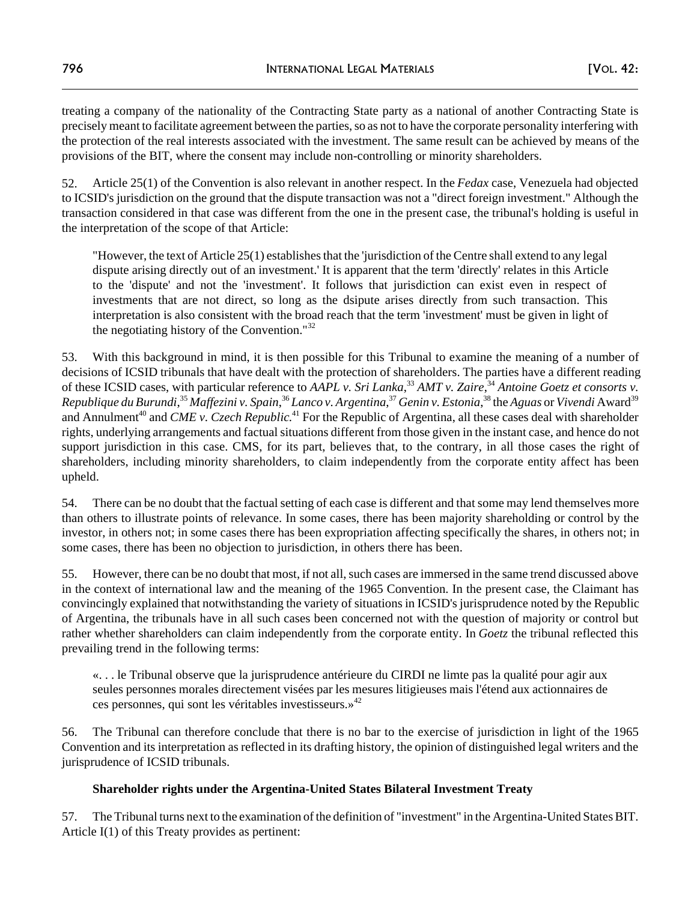treating a company of the nationality of the Contracting State party as a national of another Contracting State is precisely meant to facilitate agreement between the parties, so as not to have the corporate personality interfering with the protection of the real interests associated with the investment. The same result can be achieved by means of the provisions of the BIT, where the consent may include non-controlling or minority shareholders.

52. Article 25(1) of the Convention is also relevant in another respect. In the *Fedax* case, Venezuela had objected to ICSID's jurisdiction on the ground that the dispute transaction was not a "direct foreign investment." Although the transaction considered in that case was different from the one in the present case, the tribunal's holding is useful in the interpretation of the scope of that Article:

"However, the text of Article 25(1) establishes that the 'jurisdiction of the Centre shall extend to any legal dispute arising directly out of an investment.' It is apparent that the term 'directly' relates in this Article to the 'dispute' and not the 'investment'. It follows that jurisdiction can exist even in respect of investments that are not direct, so long as the dsipute arises directly from such transaction. This interpretation is also consistent with the broad reach that the term 'investment' must be given in light of the negotiating history of the Convention." $^{32}$ 

53. With this background in mind, it is then possible for this Tribunal to examine the meaning of a number of decisions of ICSID tribunals that have dealt with the protection of shareholders. The parties have a different reading of these ICSID cases, with particular reference to *AAPL v. Sri Lanka*, <sup>33</sup> *AMT v. Zaire*, <sup>34</sup> *Antoine Goetz et consorts v. Republique du Burundi*, <sup>35</sup> *Maffezini v. Spain*, <sup>36</sup> *Lanco v. Argentina*, <sup>37</sup> *Genin v. Estonia*, 38 the *Aguas* or *Vivendi* Award<sup>39</sup> and Annulment<sup>40</sup> and *CME v. Czech Republic*.<sup>41</sup> For the Republic of Argentina, all these cases deal with shareholder rights, underlying arrangements and factual situations different from those given in the instant case, and hence do not support jurisdiction in this case. CMS, for its part, believes that, to the contrary, in all those cases the right of shareholders, including minority shareholders, to claim independently from the corporate entity affect has been upheld.

54. There can be no doubt that the factual setting of each case is different and that some may lend themselves more than others to illustrate points of relevance. In some cases, there has been majority shareholding or control by the investor, in others not; in some cases there has been expropriation affecting specifically the shares, in others not; in some cases, there has been no objection to jurisdiction, in others there has been.

55. However, there can be no doubt that most, if not all, such cases are immersed in the same trend discussed above in the context of international law and the meaning of the 1965 Convention. In the present case, the Claimant has convincingly explained that notwithstanding the variety of situations in ICSID's jurisprudence noted by the Republic of Argentina, the tribunals have in all such cases been concerned not with the question of majority or control but rather whether shareholders can claim independently from the corporate entity. In *Goetz* the tribunal reflected this prevailing trend in the following terms:

«. . . le Tribunal observe que la jurisprudence antérieure du CIRDI ne limte pas la qualité pour agir aux seules personnes morales directement visées par les mesures litigieuses mais l'étend aux actionnaires de ces personnes, qui sont les véritables investisseurs.»42

56. The Tribunal can therefore conclude that there is no bar to the exercise of jurisdiction in light of the 1965 Convention and its interpretation as reflected in its drafting history, the opinion of distinguished legal writers and the jurisprudence of ICSID tribunals.

# **Shareholder rights under the Argentina-United States Bilateral Investment Treaty**

57. The Tribunal turns next to the examination of the definition of "investment" in the Argentina-United States BIT. Article I(1) of this Treaty provides as pertinent: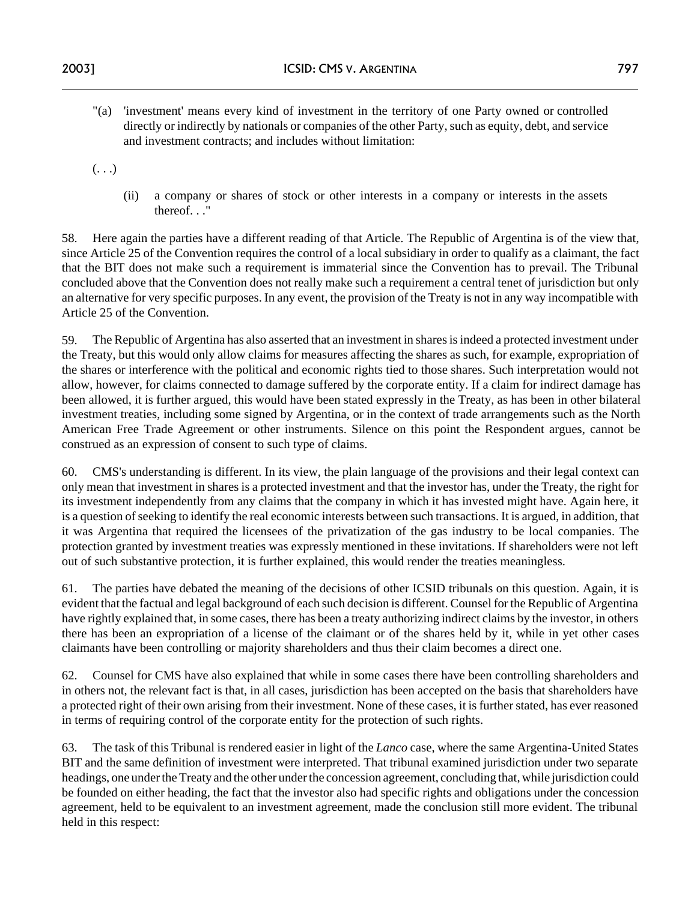"(a) 'investment' means every kind of investment in the territory of one Party owned or controlled directly or indirectly by nationals or companies of the other Party, such as equity, debt, and service and investment contracts; and includes without limitation:

 $\left( \ldots \right)$ 

(ii) a company or shares of stock or other interests in a company or interests in the assets thereof. . ."

58. Here again the parties have a different reading of that Article. The Republic of Argentina is of the view that, since Article 25 of the Convention requires the control of a local subsidiary in order to qualify as a claimant, the fact that the BIT does not make such a requirement is immaterial since the Convention has to prevail. The Tribunal concluded above that the Convention does not really make such a requirement a central tenet of jurisdiction but only an alternative for very specific purposes. In any event, the provision of the Treaty is not in any way incompatible with Article 25 of the Convention.

59. The Republic of Argentina has also asserted that an investment in shares is indeed a protected investment under the Treaty, but this would only allow claims for measures affecting the shares as such, for example, expropriation of the shares or interference with the political and economic rights tied to those shares. Such interpretation would not allow, however, for claims connected to damage suffered by the corporate entity. If a claim for indirect damage has been allowed, it is further argued, this would have been stated expressly in the Treaty, as has been in other bilateral investment treaties, including some signed by Argentina, or in the context of trade arrangements such as the North American Free Trade Agreement or other instruments. Silence on this point the Respondent argues, cannot be construed as an expression of consent to such type of claims.

60. CMS's understanding is different. In its view, the plain language of the provisions and their legal context can only mean that investment in shares is a protected investment and that the investor has, under the Treaty, the right for its investment independently from any claims that the company in which it has invested might have. Again here, it is a question of seeking to identify the real economic interests between such transactions. It is argued, in addition, that it was Argentina that required the licensees of the privatization of the gas industry to be local companies. The protection granted by investment treaties was expressly mentioned in these invitations. If shareholders were not left out of such substantive protection, it is further explained, this would render the treaties meaningless.

61. The parties have debated the meaning of the decisions of other ICSID tribunals on this question. Again, it is evident that the factual and legal background of each such decision is different. Counsel for the Republic of Argentina have rightly explained that, in some cases, there has been a treaty authorizing indirect claims by the investor, in others there has been an expropriation of a license of the claimant or of the shares held by it, while in yet other cases claimants have been controlling or majority shareholders and thus their claim becomes a direct one.

62. Counsel for CMS have also explained that while in some cases there have been controlling shareholders and in others not, the relevant fact is that, in all cases, jurisdiction has been accepted on the basis that shareholders have a protected right of their own arising from their investment. None of these cases, it is further stated, has ever reasoned in terms of requiring control of the corporate entity for the protection of such rights.

63. The task of this Tribunal is rendered easier in light of the *Lanco* case, where the same Argentina-United States BIT and the same definition of investment were interpreted. That tribunal examined jurisdiction under two separate headings, one under the Treaty and the other under the concession agreement, concluding that, while jurisdiction could be founded on either heading, the fact that the investor also had specific rights and obligations under the concession agreement, held to be equivalent to an investment agreement, made the conclusion still more evident. The tribunal held in this respect: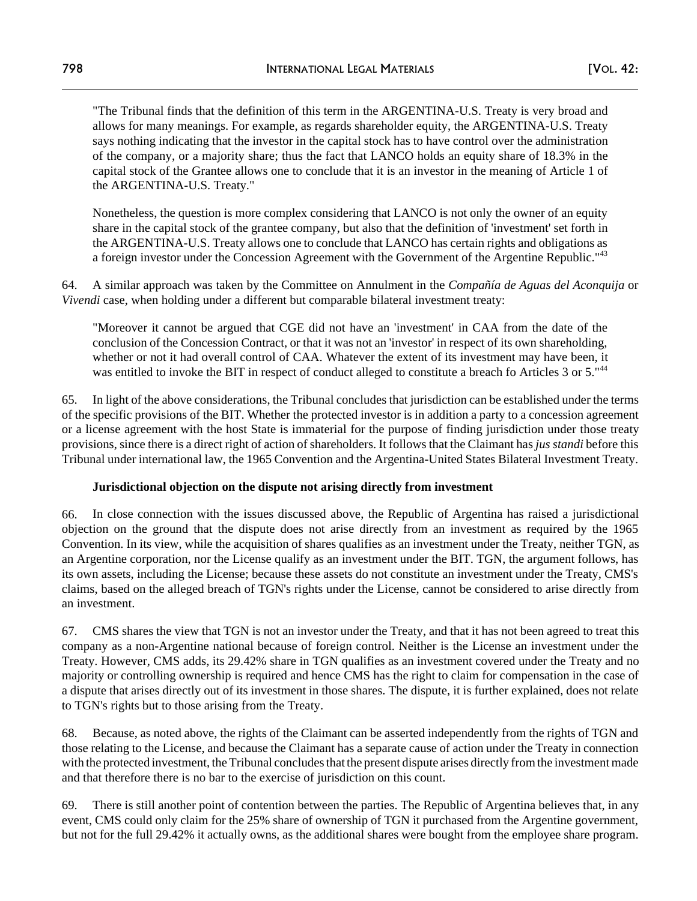"The Tribunal finds that the definition of this term in the ARGENTINA-U.S. Treaty is very broad and allows for many meanings. For example, as regards shareholder equity, the ARGENTINA-U.S. Treaty says nothing indicating that the investor in the capital stock has to have control over the administration of the company, or a majority share; thus the fact that LANCO holds an equity share of 18.3% in the capital stock of the Grantee allows one to conclude that it is an investor in the meaning of Article 1 of the ARGENTINA-U.S. Treaty."

Nonetheless, the question is more complex considering that LANCO is not only the owner of an equity share in the capital stock of the grantee company, but also that the definition of 'investment' set forth in the ARGENTINA-U.S. Treaty allows one to conclude that LANCO has certain rights and obligations as a foreign investor under the Concession Agreement with the Government of the Argentine Republic."<sup>43</sup>

64. A similar approach was taken by the Committee on Annulment in the *Compañía de Aguas del Aconquija* or *Vivendi* case, when holding under a different but comparable bilateral investment treaty:

"Moreover it cannot be argued that CGE did not have an 'investment' in CAA from the date of the conclusion of the Concession Contract, or that it was not an 'investor' in respect of its own shareholding, whether or not it had overall control of CAA. Whatever the extent of its investment may have been, it was entitled to invoke the BIT in respect of conduct alleged to constitute a breach fo Articles 3 or 5."<sup>44</sup>

65. In light of the above considerations, the Tribunal concludes that jurisdiction can be established under the terms of the specific provisions of the BIT. Whether the protected investor is in addition a party to a concession agreement or a license agreement with the host State is immaterial for the purpose of finding jurisdiction under those treaty provisions, since there is a direct right of action of shareholders. It follows that the Claimant has *jus standi* before this Tribunal under international law, the 1965 Convention and the Argentina-United States Bilateral Investment Treaty.

#### **Jurisdictional objection on the dispute not arising directly from investment**

66. In close connection with the issues discussed above, the Republic of Argentina has raised a jurisdictional objection on the ground that the dispute does not arise directly from an investment as required by the 1965 Convention. In its view, while the acquisition of shares qualifies as an investment under the Treaty, neither TGN, as an Argentine corporation, nor the License qualify as an investment under the BIT. TGN, the argument follows, has its own assets, including the License; because these assets do not constitute an investment under the Treaty, CMS's claims, based on the alleged breach of TGN's rights under the License, cannot be considered to arise directly from an investment.

67. CMS shares the view that TGN is not an investor under the Treaty, and that it has not been agreed to treat this company as a non-Argentine national because of foreign control. Neither is the License an investment under the Treaty. However, CMS adds, its 29.42% share in TGN qualifies as an investment covered under the Treaty and no majority or controlling ownership is required and hence CMS has the right to claim for compensation in the case of a dispute that arises directly out of its investment in those shares. The dispute, it is further explained, does not relate to TGN's rights but to those arising from the Treaty.

68. Because, as noted above, the rights of the Claimant can be asserted independently from the rights of TGN and those relating to the License, and because the Claimant has a separate cause of action under the Treaty in connection with the protected investment, the Tribunal concludes that the present dispute arises directly from the investment made and that therefore there is no bar to the exercise of jurisdiction on this count.

69. There is still another point of contention between the parties. The Republic of Argentina believes that, in any event, CMS could only claim for the 25% share of ownership of TGN it purchased from the Argentine government, but not for the full 29.42% it actually owns, as the additional shares were bought from the employee share program.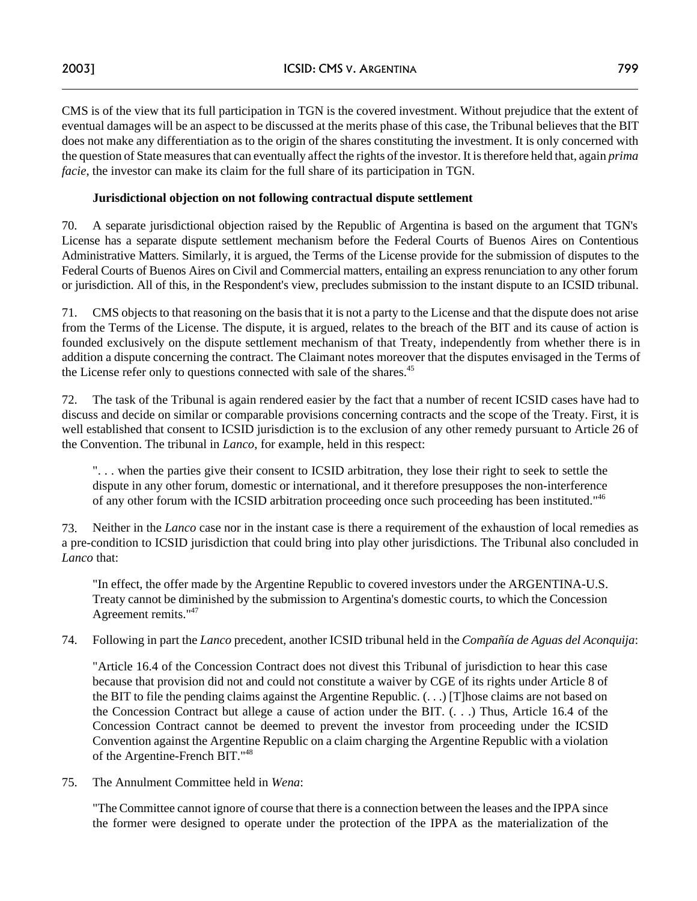CMS is of the view that its full participation in TGN is the covered investment. Without prejudice that the extent of eventual damages will be an aspect to be discussed at the merits phase of this case, the Tribunal believes that the BIT does not make any differentiation as to the origin of the shares constituting the investment. It is only concerned with the question of State measures that can eventually affect the rights of the investor. It is therefore held that, again *prima facie*, the investor can make its claim for the full share of its participation in TGN.

## **Jurisdictional objection on not following contractual dispute settlement**

70. A separate jurisdictional objection raised by the Republic of Argentina is based on the argument that TGN's License has a separate dispute settlement mechanism before the Federal Courts of Buenos Aires on Contentious Administrative Matters. Similarly, it is argued, the Terms of the License provide for the submission of disputes to the Federal Courts of Buenos Aires on Civil and Commercial matters, entailing an express renunciation to any other forum or jurisdiction. All of this, in the Respondent's view, precludes submission to the instant dispute to an ICSID tribunal.

71. CMS objects to that reasoning on the basis that it is not a party to the License and that the dispute does not arise from the Terms of the License. The dispute, it is argued, relates to the breach of the BIT and its cause of action is founded exclusively on the dispute settlement mechanism of that Treaty, independently from whether there is in addition a dispute concerning the contract. The Claimant notes moreover that the disputes envisaged in the Terms of the License refer only to questions connected with sale of the shares.<sup>45</sup>

72. The task of the Tribunal is again rendered easier by the fact that a number of recent ICSID cases have had to discuss and decide on similar or comparable provisions concerning contracts and the scope of the Treaty. First, it is well established that consent to ICSID jurisdiction is to the exclusion of any other remedy pursuant to Article 26 of the Convention. The tribunal in *Lanco*, for example, held in this respect:

". . . when the parties give their consent to ICSID arbitration, they lose their right to seek to settle the dispute in any other forum, domestic or international, and it therefore presupposes the non-interference of any other forum with the ICSID arbitration proceeding once such proceeding has been instituted."<sup>46</sup>

73. Neither in the *Lanco* case nor in the instant case is there a requirement of the exhaustion of local remedies as a pre-condition to ICSID jurisdiction that could bring into play other jurisdictions. The Tribunal also concluded in *Lanco* that:

"In effect, the offer made by the Argentine Republic to covered investors under the ARGENTINA-U.S. Treaty cannot be diminished by the submission to Argentina's domestic courts, to which the Concession Agreement remits."<sup>47</sup>

# 74. Following in part the *Lanco* precedent, another ICSID tribunal held in the *Compañía de Aguas del Aconquija*:

"Article 16.4 of the Concession Contract does not divest this Tribunal of jurisdiction to hear this case because that provision did not and could not constitute a waiver by CGE of its rights under Article 8 of the BIT to file the pending claims against the Argentine Republic. (. . .) [T]hose claims are not based on the Concession Contract but allege a cause of action under the BIT. (. . .) Thus, Article 16.4 of the Concession Contract cannot be deemed to prevent the investor from proceeding under the ICSID Convention against the Argentine Republic on a claim charging the Argentine Republic with a violation of the Argentine-French BIT."48

75. The Annulment Committee held in *Wena*:

"The Committee cannot ignore of course that there is a connection between the leases and the IPPA since the former were designed to operate under the protection of the IPPA as the materialization of the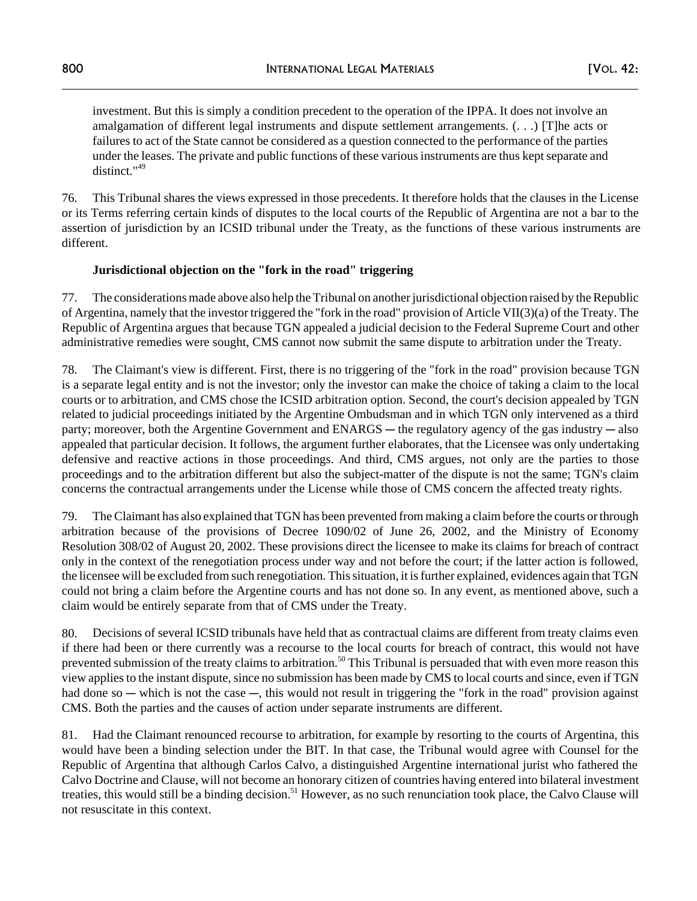investment. But this is simply a condition precedent to the operation of the IPPA. It does not involve an amalgamation of different legal instruments and dispute settlement arrangements. (. . .) [T]he acts or failures to act of the State cannot be considered as a question connected to the performance of the parties under the leases. The private and public functions of these various instruments are thus kept separate and distinct."<sup>49</sup>

76. This Tribunal shares the views expressed in those precedents. It therefore holds that the clauses in the License or its Terms referring certain kinds of disputes to the local courts of the Republic of Argentina are not a bar to the assertion of jurisdiction by an ICSID tribunal under the Treaty, as the functions of these various instruments are different.

#### **Jurisdictional objection on the "fork in the road" triggering**

77. The considerations made above also help the Tribunal on another jurisdictional objection raised by the Republic of Argentina, namely that the investor triggered the "fork in the road" provision of Article VII(3)(a) of the Treaty. The Republic of Argentina argues that because TGN appealed a judicial decision to the Federal Supreme Court and other administrative remedies were sought, CMS cannot now submit the same dispute to arbitration under the Treaty.

78. The Claimant's view is different. First, there is no triggering of the "fork in the road" provision because TGN is a separate legal entity and is not the investor; only the investor can make the choice of taking a claim to the local courts or to arbitration, and CMS chose the ICSID arbitration option. Second, the court's decision appealed by TGN related to judicial proceedings initiated by the Argentine Ombudsman and in which TGN only intervened as a third party; moreover, both the Argentine Government and  $ENARGS -$  the regulatory agency of the gas industry  $-$  also appealed that particular decision. It follows, the argument further elaborates, that the Licensee was only undertaking defensive and reactive actions in those proceedings. And third, CMS argues, not only are the parties to those proceedings and to the arbitration different but also the subject-matter of the dispute is not the same; TGN's claim concerns the contractual arrangements under the License while those of CMS concern the affected treaty rights.

79. The Claimant has also explained that TGN has been prevented from making a claim before the courts or through arbitration because of the provisions of Decree 1090/02 of June 26, 2002, and the Ministry of Economy Resolution 308/02 of August 20, 2002. These provisions direct the licensee to make its claims for breach of contract only in the context of the renegotiation process under way and not before the court; if the latter action is followed, the licensee will be excluded from such renegotiation. This situation, it is further explained, evidences again that TGN could not bring a claim before the Argentine courts and has not done so. In any event, as mentioned above, such a claim would be entirely separate from that of CMS under the Treaty.

80. Decisions of several ICSID tribunals have held that as contractual claims are different from treaty claims even if there had been or there currently was a recourse to the local courts for breach of contract, this would not have prevented submission of the treaty claims to arbitration.<sup>50</sup> This Tribunal is persuaded that with even more reason this view applies to the instant dispute, since no submission has been made by CMS to local courts and since, even if TGN had done so  $-$  which is not the case  $-$ , this would not result in triggering the "fork in the road" provision against CMS. Both the parties and the causes of action under separate instruments are different.

81. Had the Claimant renounced recourse to arbitration, for example by resorting to the courts of Argentina, this would have been a binding selection under the BIT. In that case, the Tribunal would agree with Counsel for the Republic of Argentina that although Carlos Calvo, a distinguished Argentine international jurist who fathered the Calvo Doctrine and Clause, will not become an honorary citizen of countries having entered into bilateral investment treaties, this would still be a binding decision.<sup>51</sup> However, as no such renunciation took place, the Calvo Clause will not resuscitate in this context.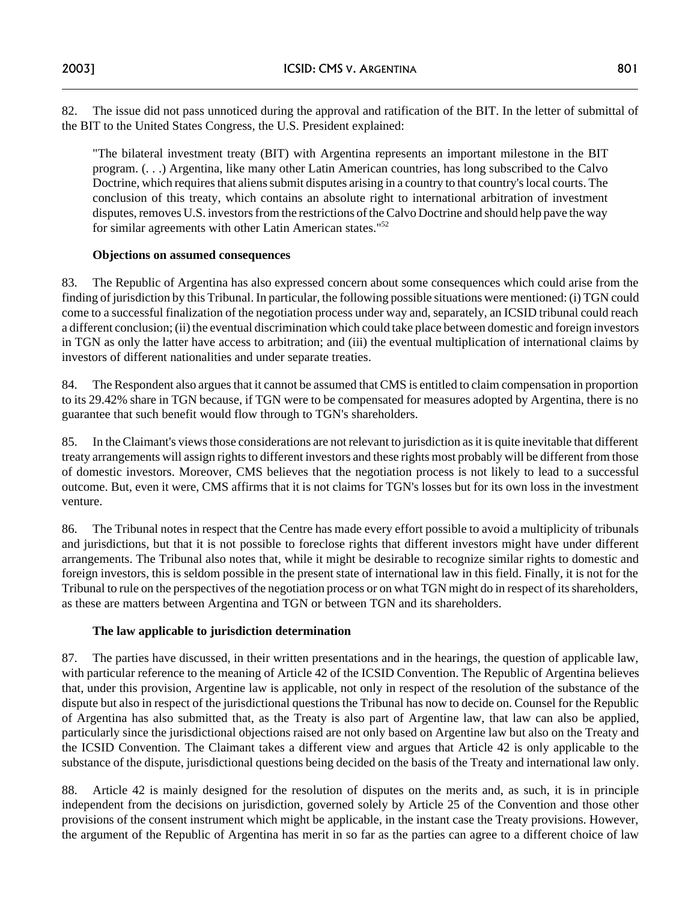82. The issue did not pass unnoticed during the approval and ratification of the BIT. In the letter of submittal of the BIT to the United States Congress, the U.S. President explained:

"The bilateral investment treaty (BIT) with Argentina represents an important milestone in the BIT program. (. . .) Argentina, like many other Latin American countries, has long subscribed to the Calvo Doctrine, which requires that aliens submit disputes arising in a country to that country's local courts. The conclusion of this treaty, which contains an absolute right to international arbitration of investment disputes, removes U.S. investors from the restrictions of the Calvo Doctrine and should help pave the way for similar agreements with other Latin American states."<sup>52</sup>

#### **Objections on assumed consequences**

83. The Republic of Argentina has also expressed concern about some consequences which could arise from the finding of jurisdiction by this Tribunal. In particular, the following possible situations were mentioned: (i) TGN could come to a successful finalization of the negotiation process under way and, separately, an ICSID tribunal could reach a different conclusion; (ii) the eventual discrimination which could take place between domestic and foreign investors in TGN as only the latter have access to arbitration; and (iii) the eventual multiplication of international claims by investors of different nationalities and under separate treaties.

84. The Respondent also argues that it cannot be assumed that CMS is entitled to claim compensation in proportion to its 29.42% share in TGN because, if TGN were to be compensated for measures adopted by Argentina, there is no guarantee that such benefit would flow through to TGN's shareholders.

85. In the Claimant's views those considerations are not relevant to jurisdiction as it is quite inevitable that different treaty arrangements will assign rights to different investors and these rights most probably will be different from those of domestic investors. Moreover, CMS believes that the negotiation process is not likely to lead to a successful outcome. But, even it were, CMS affirms that it is not claims for TGN's losses but for its own loss in the investment venture.

86. The Tribunal notes in respect that the Centre has made every effort possible to avoid a multiplicity of tribunals and jurisdictions, but that it is not possible to foreclose rights that different investors might have under different arrangements. The Tribunal also notes that, while it might be desirable to recognize similar rights to domestic and foreign investors, this is seldom possible in the present state of international law in this field. Finally, it is not for the Tribunal to rule on the perspectives of the negotiation process or on what TGN might do in respect of its shareholders, as these are matters between Argentina and TGN or between TGN and its shareholders.

# **The law applicable to jurisdiction determination**

87. The parties have discussed, in their written presentations and in the hearings, the question of applicable law, with particular reference to the meaning of Article 42 of the ICSID Convention. The Republic of Argentina believes that, under this provision, Argentine law is applicable, not only in respect of the resolution of the substance of the dispute but also in respect of the jurisdictional questions the Tribunal has now to decide on. Counsel for the Republic of Argentina has also submitted that, as the Treaty is also part of Argentine law, that law can also be applied, particularly since the jurisdictional objections raised are not only based on Argentine law but also on the Treaty and the ICSID Convention. The Claimant takes a different view and argues that Article 42 is only applicable to the substance of the dispute, jurisdictional questions being decided on the basis of the Treaty and international law only.

88. Article 42 is mainly designed for the resolution of disputes on the merits and, as such, it is in principle independent from the decisions on jurisdiction, governed solely by Article 25 of the Convention and those other provisions of the consent instrument which might be applicable, in the instant case the Treaty provisions. However, the argument of the Republic of Argentina has merit in so far as the parties can agree to a different choice of law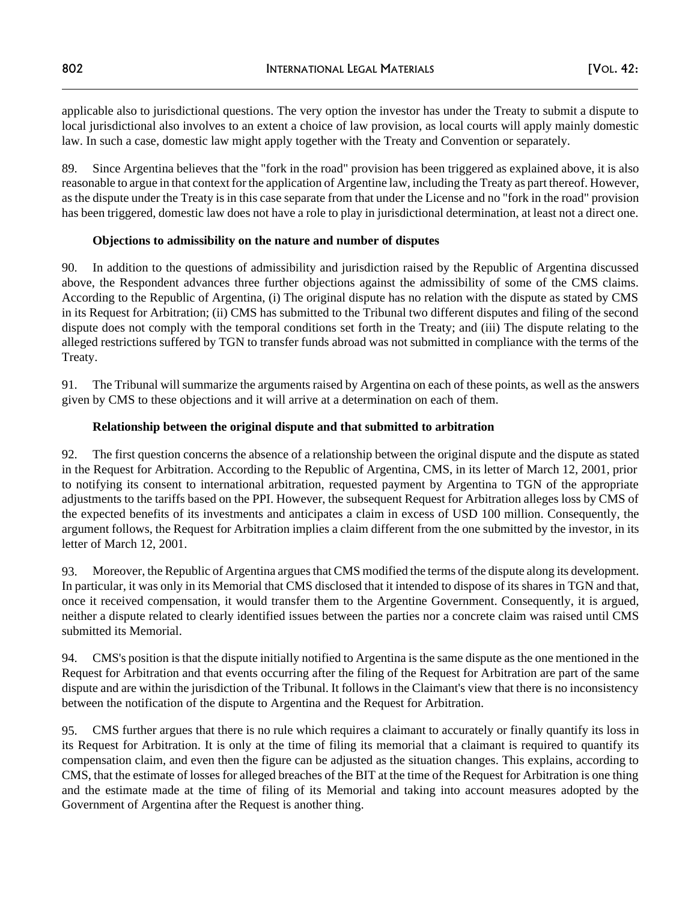applicable also to jurisdictional questions. The very option the investor has under the Treaty to submit a dispute to local jurisdictional also involves to an extent a choice of law provision, as local courts will apply mainly domestic law. In such a case, domestic law might apply together with the Treaty and Convention or separately.

89. Since Argentina believes that the "fork in the road" provision has been triggered as explained above, it is also reasonable to argue in that context for the application of Argentine law, including the Treaty as part thereof. However, as the dispute under the Treaty is in this case separate from that under the License and no "fork in the road" provision has been triggered, domestic law does not have a role to play in jurisdictional determination, at least not a direct one.

### **Objections to admissibility on the nature and number of disputes**

90. In addition to the questions of admissibility and jurisdiction raised by the Republic of Argentina discussed above, the Respondent advances three further objections against the admissibility of some of the CMS claims. According to the Republic of Argentina, (i) The original dispute has no relation with the dispute as stated by CMS in its Request for Arbitration; (ii) CMS has submitted to the Tribunal two different disputes and filing of the second dispute does not comply with the temporal conditions set forth in the Treaty; and (iii) The dispute relating to the alleged restrictions suffered by TGN to transfer funds abroad was not submitted in compliance with the terms of the Treaty.

91. The Tribunal will summarize the arguments raised by Argentina on each of these points, as well as the answers given by CMS to these objections and it will arrive at a determination on each of them.

### **Relationship between the original dispute and that submitted to arbitration**

92. The first question concerns the absence of a relationship between the original dispute and the dispute as stated in the Request for Arbitration. According to the Republic of Argentina, CMS, in its letter of March 12, 2001, prior to notifying its consent to international arbitration, requested payment by Argentina to TGN of the appropriate adjustments to the tariffs based on the PPI. However, the subsequent Request for Arbitration alleges loss by CMS of the expected benefits of its investments and anticipates a claim in excess of USD 100 million. Consequently, the argument follows, the Request for Arbitration implies a claim different from the one submitted by the investor, in its letter of March 12, 2001.

93. Moreover, the Republic of Argentina argues that CMS modified the terms of the dispute along its development. In particular, it was only in its Memorial that CMS disclosed that it intended to dispose of its shares in TGN and that, once it received compensation, it would transfer them to the Argentine Government. Consequently, it is argued, neither a dispute related to clearly identified issues between the parties nor a concrete claim was raised until CMS submitted its Memorial.

94. CMS's position is that the dispute initially notified to Argentina is the same dispute as the one mentioned in the Request for Arbitration and that events occurring after the filing of the Request for Arbitration are part of the same dispute and are within the jurisdiction of the Tribunal. It follows in the Claimant's view that there is no inconsistency between the notification of the dispute to Argentina and the Request for Arbitration.

95. CMS further argues that there is no rule which requires a claimant to accurately or finally quantify its loss in its Request for Arbitration. It is only at the time of filing its memorial that a claimant is required to quantify its compensation claim, and even then the figure can be adjusted as the situation changes. This explains, according to CMS, that the estimate of losses for alleged breaches of the BIT at the time of the Request for Arbitration is one thing and the estimate made at the time of filing of its Memorial and taking into account measures adopted by the Government of Argentina after the Request is another thing.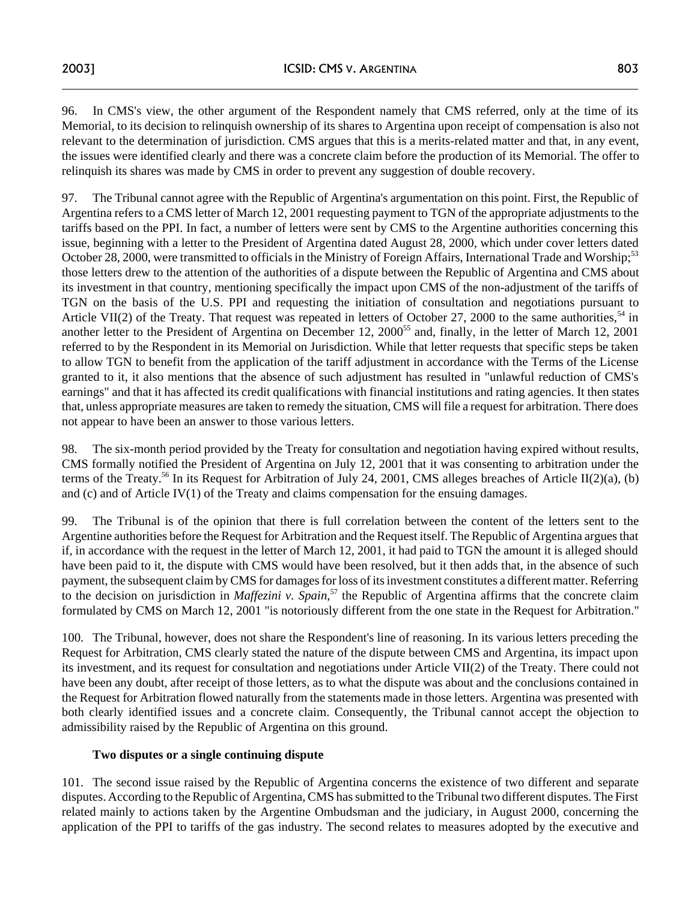96. In CMS's view, the other argument of the Respondent namely that CMS referred, only at the time of its Memorial, to its decision to relinquish ownership of its shares to Argentina upon receipt of compensation is also not relevant to the determination of jurisdiction. CMS argues that this is a merits-related matter and that, in any event, the issues were identified clearly and there was a concrete claim before the production of its Memorial. The offer to relinquish its shares was made by CMS in order to prevent any suggestion of double recovery.

97. The Tribunal cannot agree with the Republic of Argentina's argumentation on this point. First, the Republic of Argentina refers to a CMS letter of March 12, 2001 requesting payment to TGN of the appropriate adjustments to the tariffs based on the PPI. In fact, a number of letters were sent by CMS to the Argentine authorities concerning this issue, beginning with a letter to the President of Argentina dated August 28, 2000, which under cover letters dated October 28, 2000, were transmitted to officials in the Ministry of Foreign Affairs, International Trade and Worship;<sup>53</sup> those letters drew to the attention of the authorities of a dispute between the Republic of Argentina and CMS about its investment in that country, mentioning specifically the impact upon CMS of the non-adjustment of the tariffs of TGN on the basis of the U.S. PPI and requesting the initiation of consultation and negotiations pursuant to Article VII(2) of the Treaty. That request was repeated in letters of October 27, 2000 to the same authorities,  $54$  in another letter to the President of Argentina on December 12, 2000<sup>55</sup> and, finally, in the letter of March 12, 2001 referred to by the Respondent in its Memorial on Jurisdiction. While that letter requests that specific steps be taken to allow TGN to benefit from the application of the tariff adjustment in accordance with the Terms of the License granted to it, it also mentions that the absence of such adjustment has resulted in "unlawful reduction of CMS's earnings" and that it has affected its credit qualifications with financial institutions and rating agencies. It then states that, unless appropriate measures are taken to remedy the situation, CMS will file a request for arbitration. There does not appear to have been an answer to those various letters.

98. The six-month period provided by the Treaty for consultation and negotiation having expired without results, CMS formally notified the President of Argentina on July 12, 2001 that it was consenting to arbitration under the terms of the Treaty.<sup>56</sup> In its Request for Arbitration of July 24, 2001, CMS alleges breaches of Article II(2)(a), (b) and (c) and of Article IV(1) of the Treaty and claims compensation for the ensuing damages.

99. The Tribunal is of the opinion that there is full correlation between the content of the letters sent to the Argentine authorities before the Request for Arbitration and the Request itself. The Republic of Argentina argues that if, in accordance with the request in the letter of March 12, 2001, it had paid to TGN the amount it is alleged should have been paid to it, the dispute with CMS would have been resolved, but it then adds that, in the absence of such payment, the subsequent claim by CMS for damages for loss of its investment constitutes a different matter. Referring to the decision on jurisdiction in *Maffezini v. Spain*, 57 the Republic of Argentina affirms that the concrete claim formulated by CMS on March 12, 2001 "is notoriously different from the one state in the Request for Arbitration."

100. The Tribunal, however, does not share the Respondent's line of reasoning. In its various letters preceding the Request for Arbitration, CMS clearly stated the nature of the dispute between CMS and Argentina, its impact upon its investment, and its request for consultation and negotiations under Article VII(2) of the Treaty. There could not have been any doubt, after receipt of those letters, as to what the dispute was about and the conclusions contained in the Request for Arbitration flowed naturally from the statements made in those letters. Argentina was presented with both clearly identified issues and a concrete claim. Consequently, the Tribunal cannot accept the objection to admissibility raised by the Republic of Argentina on this ground.

# **Two disputes or a single continuing dispute**

101. The second issue raised by the Republic of Argentina concerns the existence of two different and separate disputes. According to the Republic of Argentina, CMS has submitted to the Tribunal two different disputes. The First related mainly to actions taken by the Argentine Ombudsman and the judiciary, in August 2000, concerning the application of the PPI to tariffs of the gas industry. The second relates to measures adopted by the executive and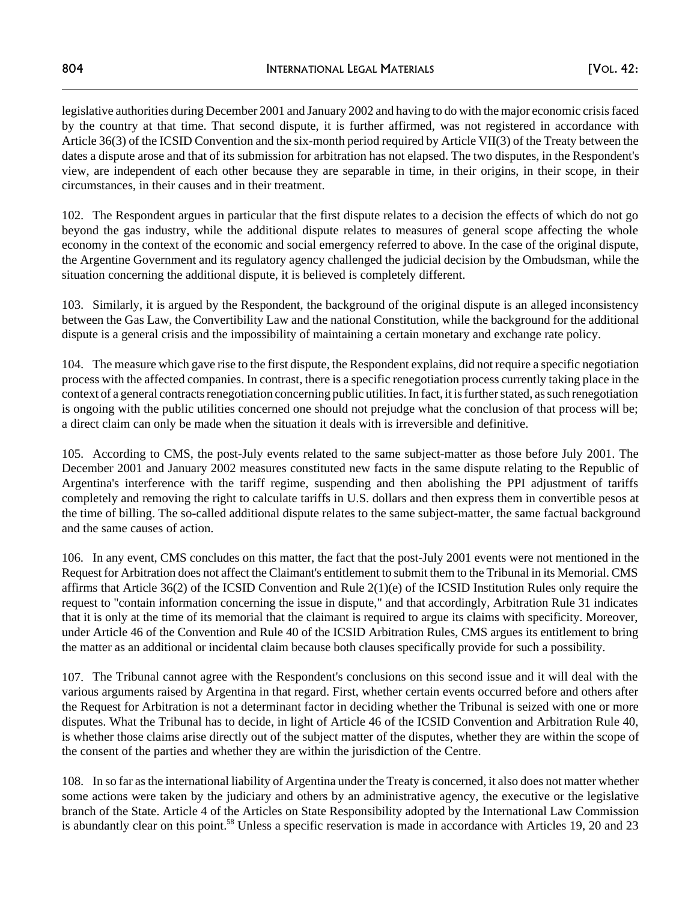legislative authorities during December 2001 and January 2002 and having to do with the major economic crisis faced by the country at that time. That second dispute, it is further affirmed, was not registered in accordance with Article 36(3) of the ICSID Convention and the six-month period required by Article VII(3) of the Treaty between the dates a dispute arose and that of its submission for arbitration has not elapsed. The two disputes, in the Respondent's view, are independent of each other because they are separable in time, in their origins, in their scope, in their circumstances, in their causes and in their treatment.

102. The Respondent argues in particular that the first dispute relates to a decision the effects of which do not go beyond the gas industry, while the additional dispute relates to measures of general scope affecting the whole economy in the context of the economic and social emergency referred to above. In the case of the original dispute, the Argentine Government and its regulatory agency challenged the judicial decision by the Ombudsman, while the situation concerning the additional dispute, it is believed is completely different.

103. Similarly, it is argued by the Respondent, the background of the original dispute is an alleged inconsistency between the Gas Law, the Convertibility Law and the national Constitution, while the background for the additional dispute is a general crisis and the impossibility of maintaining a certain monetary and exchange rate policy.

104. The measure which gave rise to the first dispute, the Respondent explains, did not require a specific negotiation process with the affected companies. In contrast, there is a specific renegotiation process currently taking place in the context of a general contracts renegotiation concerning public utilities. In fact, it is further stated, as such renegotiation is ongoing with the public utilities concerned one should not prejudge what the conclusion of that process will be; a direct claim can only be made when the situation it deals with is irreversible and definitive.

105. According to CMS, the post-July events related to the same subject-matter as those before July 2001. The December 2001 and January 2002 measures constituted new facts in the same dispute relating to the Republic of Argentina's interference with the tariff regime, suspending and then abolishing the PPI adjustment of tariffs completely and removing the right to calculate tariffs in U.S. dollars and then express them in convertible pesos at the time of billing. The so-called additional dispute relates to the same subject-matter, the same factual background and the same causes of action.

106. In any event, CMS concludes on this matter, the fact that the post-July 2001 events were not mentioned in the Request for Arbitration does not affect the Claimant's entitlement to submit them to the Tribunal in its Memorial. CMS affirms that Article 36(2) of the ICSID Convention and Rule 2(1)(e) of the ICSID Institution Rules only require the request to "contain information concerning the issue in dispute," and that accordingly, Arbitration Rule 31 indicates that it is only at the time of its memorial that the claimant is required to argue its claims with specificity. Moreover, under Article 46 of the Convention and Rule 40 of the ICSID Arbitration Rules, CMS argues its entitlement to bring the matter as an additional or incidental claim because both clauses specifically provide for such a possibility.

107. The Tribunal cannot agree with the Respondent's conclusions on this second issue and it will deal with the various arguments raised by Argentina in that regard. First, whether certain events occurred before and others after the Request for Arbitration is not a determinant factor in deciding whether the Tribunal is seized with one or more disputes. What the Tribunal has to decide, in light of Article 46 of the ICSID Convention and Arbitration Rule 40, is whether those claims arise directly out of the subject matter of the disputes, whether they are within the scope of the consent of the parties and whether they are within the jurisdiction of the Centre.

108. In so far as the international liability of Argentina under the Treaty is concerned, it also does not matter whether some actions were taken by the judiciary and others by an administrative agency, the executive or the legislative branch of the State. Article 4 of the Articles on State Responsibility adopted by the International Law Commission is abundantly clear on this point.<sup>58</sup> Unless a specific reservation is made in accordance with Articles 19, 20 and 23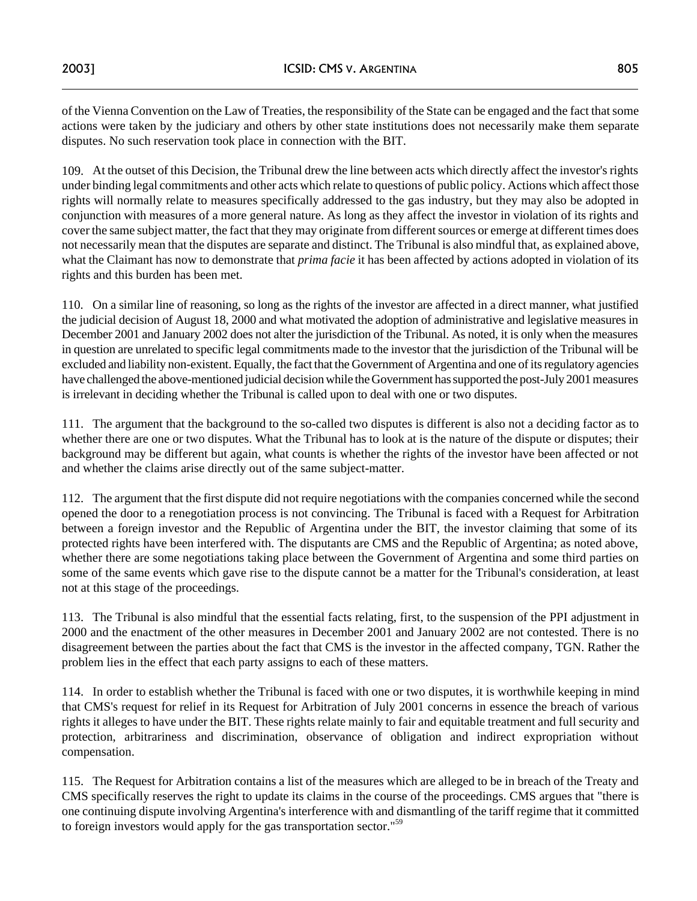of the Vienna Convention on the Law of Treaties, the responsibility of the State can be engaged and the fact that some actions were taken by the judiciary and others by other state institutions does not necessarily make them separate disputes. No such reservation took place in connection with the BIT.

109. At the outset of this Decision, the Tribunal drew the line between acts which directly affect the investor's rights under binding legal commitments and other acts which relate to questions of public policy. Actions which affect those rights will normally relate to measures specifically addressed to the gas industry, but they may also be adopted in conjunction with measures of a more general nature. As long as they affect the investor in violation of its rights and cover the same subject matter, the fact that they may originate from different sources or emerge at different times does not necessarily mean that the disputes are separate and distinct. The Tribunal is also mindful that, as explained above, what the Claimant has now to demonstrate that *prima facie* it has been affected by actions adopted in violation of its rights and this burden has been met.

110. On a similar line of reasoning, so long as the rights of the investor are affected in a direct manner, what justified the judicial decision of August 18, 2000 and what motivated the adoption of administrative and legislative measures in December 2001 and January 2002 does not alter the jurisdiction of the Tribunal. As noted, it is only when the measures in question are unrelated to specific legal commitments made to the investor that the jurisdiction of the Tribunal will be excluded and liability non-existent. Equally, the fact that the Government of Argentina and one of its regulatory agencies have challenged the above-mentioned judicial decision while the Government has supported the post-July 2001 measures is irrelevant in deciding whether the Tribunal is called upon to deal with one or two disputes.

111. The argument that the background to the so-called two disputes is different is also not a deciding factor as to whether there are one or two disputes. What the Tribunal has to look at is the nature of the dispute or disputes; their background may be different but again, what counts is whether the rights of the investor have been affected or not and whether the claims arise directly out of the same subject-matter.

112. The argument that the first dispute did not require negotiations with the companies concerned while the second opened the door to a renegotiation process is not convincing. The Tribunal is faced with a Request for Arbitration between a foreign investor and the Republic of Argentina under the BIT, the investor claiming that some of its protected rights have been interfered with. The disputants are CMS and the Republic of Argentina; as noted above, whether there are some negotiations taking place between the Government of Argentina and some third parties on some of the same events which gave rise to the dispute cannot be a matter for the Tribunal's consideration, at least not at this stage of the proceedings.

113. The Tribunal is also mindful that the essential facts relating, first, to the suspension of the PPI adjustment in 2000 and the enactment of the other measures in December 2001 and January 2002 are not contested. There is no disagreement between the parties about the fact that CMS is the investor in the affected company, TGN. Rather the problem lies in the effect that each party assigns to each of these matters.

114. In order to establish whether the Tribunal is faced with one or two disputes, it is worthwhile keeping in mind that CMS's request for relief in its Request for Arbitration of July 2001 concerns in essence the breach of various rights it alleges to have under the BIT. These rights relate mainly to fair and equitable treatment and full security and protection, arbitrariness and discrimination, observance of obligation and indirect expropriation without compensation.

115. The Request for Arbitration contains a list of the measures which are alleged to be in breach of the Treaty and CMS specifically reserves the right to update its claims in the course of the proceedings. CMS argues that "there is one continuing dispute involving Argentina's interference with and dismantling of the tariff regime that it committed to foreign investors would apply for the gas transportation sector."59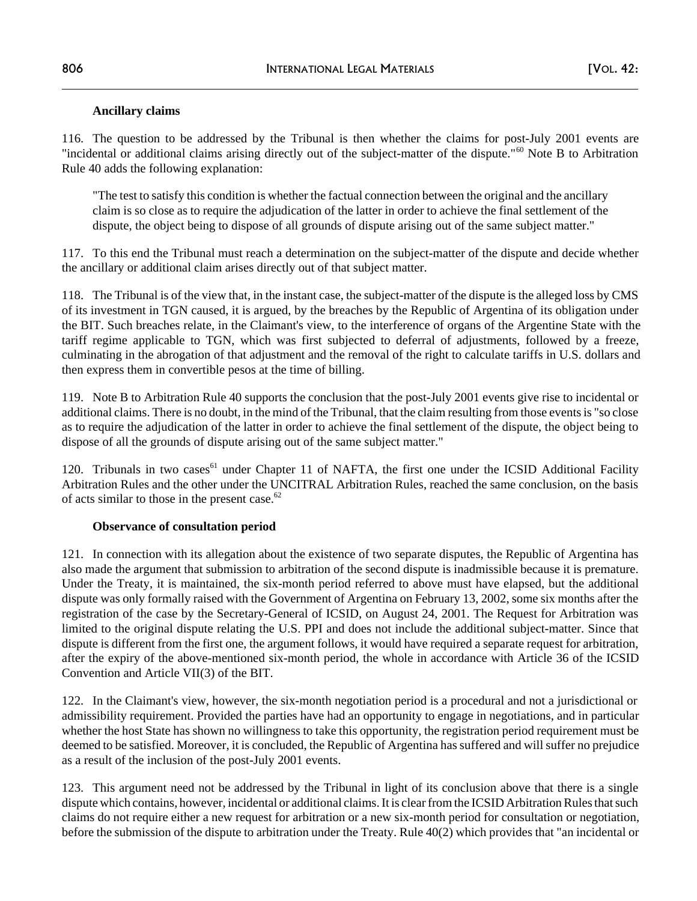#### **Ancillary claims**

116. The question to be addressed by the Tribunal is then whether the claims for post-July 2001 events are "incidental or additional claims arising directly out of the subject-matter of the dispute."<sup>60</sup> Note B to Arbitration Rule 40 adds the following explanation:

"The test to satisfy this condition is whether the factual connection between the original and the ancillary claim is so close as to require the adjudication of the latter in order to achieve the final settlement of the dispute, the object being to dispose of all grounds of dispute arising out of the same subject matter."

117. To this end the Tribunal must reach a determination on the subject-matter of the dispute and decide whether the ancillary or additional claim arises directly out of that subject matter.

118. The Tribunal is of the view that, in the instant case, the subject-matter of the dispute is the alleged loss by CMS of its investment in TGN caused, it is argued, by the breaches by the Republic of Argentina of its obligation under the BIT. Such breaches relate, in the Claimant's view, to the interference of organs of the Argentine State with the tariff regime applicable to TGN, which was first subjected to deferral of adjustments, followed by a freeze, culminating in the abrogation of that adjustment and the removal of the right to calculate tariffs in U.S. dollars and then express them in convertible pesos at the time of billing.

119. Note B to Arbitration Rule 40 supports the conclusion that the post-July 2001 events give rise to incidental or additional claims. There is no doubt, in the mind of the Tribunal, that the claim resulting from those events is "so close as to require the adjudication of the latter in order to achieve the final settlement of the dispute, the object being to dispose of all the grounds of dispute arising out of the same subject matter."

120. Tribunals in two cases<sup>61</sup> under Chapter 11 of NAFTA, the first one under the ICSID Additional Facility Arbitration Rules and the other under the UNCITRAL Arbitration Rules, reached the same conclusion, on the basis of acts similar to those in the present case. $62$ 

#### **Observance of consultation period**

121. In connection with its allegation about the existence of two separate disputes, the Republic of Argentina has also made the argument that submission to arbitration of the second dispute is inadmissible because it is premature. Under the Treaty, it is maintained, the six-month period referred to above must have elapsed, but the additional dispute was only formally raised with the Government of Argentina on February 13, 2002, some six months after the registration of the case by the Secretary-General of ICSID, on August 24, 2001. The Request for Arbitration was limited to the original dispute relating the U.S. PPI and does not include the additional subject-matter. Since that dispute is different from the first one, the argument follows, it would have required a separate request for arbitration, after the expiry of the above-mentioned six-month period, the whole in accordance with Article 36 of the ICSID Convention and Article VII(3) of the BIT.

122. In the Claimant's view, however, the six-month negotiation period is a procedural and not a jurisdictional or admissibility requirement. Provided the parties have had an opportunity to engage in negotiations, and in particular whether the host State has shown no willingness to take this opportunity, the registration period requirement must be deemed to be satisfied. Moreover, it is concluded, the Republic of Argentina has suffered and will suffer no prejudice as a result of the inclusion of the post-July 2001 events.

123. This argument need not be addressed by the Tribunal in light of its conclusion above that there is a single dispute which contains, however, incidental or additional claims. It is clear from the ICSID Arbitration Rules that such claims do not require either a new request for arbitration or a new six-month period for consultation or negotiation, before the submission of the dispute to arbitration under the Treaty. Rule 40(2) which provides that "an incidental or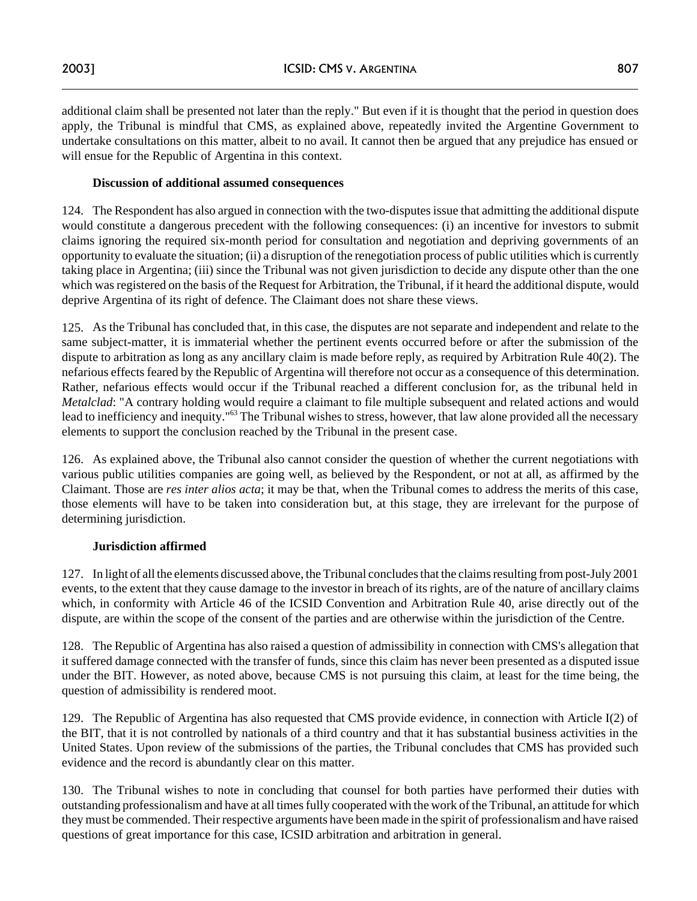additional claim shall be presented not later than the reply." But even if it is thought that the period in question does apply, the Tribunal is mindful that CMS, as explained above, repeatedly invited the Argentine Government to undertake consultations on this matter, albeit to no avail. It cannot then be argued that any prejudice has ensued or will ensue for the Republic of Argentina in this context.

### **Discussion of additional assumed consequences**

124. The Respondent has also argued in connection with the two-disputes issue that admitting the additional dispute would constitute a dangerous precedent with the following consequences: (i) an incentive for investors to submit claims ignoring the required six-month period for consultation and negotiation and depriving governments of an opportunity to evaluate the situation; (ii) a disruption of the renegotiation process of public utilities which is currently taking place in Argentina; (iii) since the Tribunal was not given jurisdiction to decide any dispute other than the one which was registered on the basis of the Request for Arbitration, the Tribunal, if it heard the additional dispute, would deprive Argentina of its right of defence. The Claimant does not share these views.

125. As the Tribunal has concluded that, in this case, the disputes are not separate and independent and relate to the same subject-matter, it is immaterial whether the pertinent events occurred before or after the submission of the dispute to arbitration as long as any ancillary claim is made before reply, as required by Arbitration Rule 40(2). The nefarious effects feared by the Republic of Argentina will therefore not occur as a consequence of this determination. Rather, nefarious effects would occur if the Tribunal reached a different conclusion for, as the tribunal held in *Metalclad*: "A contrary holding would require a claimant to file multiple subsequent and related actions and would lead to inefficiency and inequity."<sup>63</sup> The Tribunal wishes to stress, however, that law alone provided all the necessary elements to support the conclusion reached by the Tribunal in the present case.

126. As explained above, the Tribunal also cannot consider the question of whether the current negotiations with various public utilities companies are going well, as believed by the Respondent, or not at all, as affirmed by the Claimant. Those are *res inter alios acta*; it may be that, when the Tribunal comes to address the merits of this case, those elements will have to be taken into consideration but, at this stage, they are irrelevant for the purpose of determining jurisdiction.

#### **Jurisdiction affirmed**

127. In light of all the elements discussed above, the Tribunal concludes that the claims resulting from post-July 2001 events, to the extent that they cause damage to the investor in breach of its rights, are of the nature of ancillary claims which, in conformity with Article 46 of the ICSID Convention and Arbitration Rule 40, arise directly out of the dispute, are within the scope of the consent of the parties and are otherwise within the jurisdiction of the Centre.

128. The Republic of Argentina has also raised a question of admissibility in connection with CMS's allegation that it suffered damage connected with the transfer of funds, since this claim has never been presented as a disputed issue under the BIT. However, as noted above, because CMS is not pursuing this claim, at least for the time being, the question of admissibility is rendered moot.

129. The Republic of Argentina has also requested that CMS provide evidence, in connection with Article I(2) of the BIT, that it is not controlled by nationals of a third country and that it has substantial business activities in the United States. Upon review of the submissions of the parties, the Tribunal concludes that CMS has provided such evidence and the record is abundantly clear on this matter.

130. The Tribunal wishes to note in concluding that counsel for both parties have performed their duties with outstanding professionalism and have at all times fully cooperated with the work of the Tribunal, an attitude for which they must be commended. Their respective arguments have been made in the spirit of professionalism and have raised questions of great importance for this case, ICSID arbitration and arbitration in general.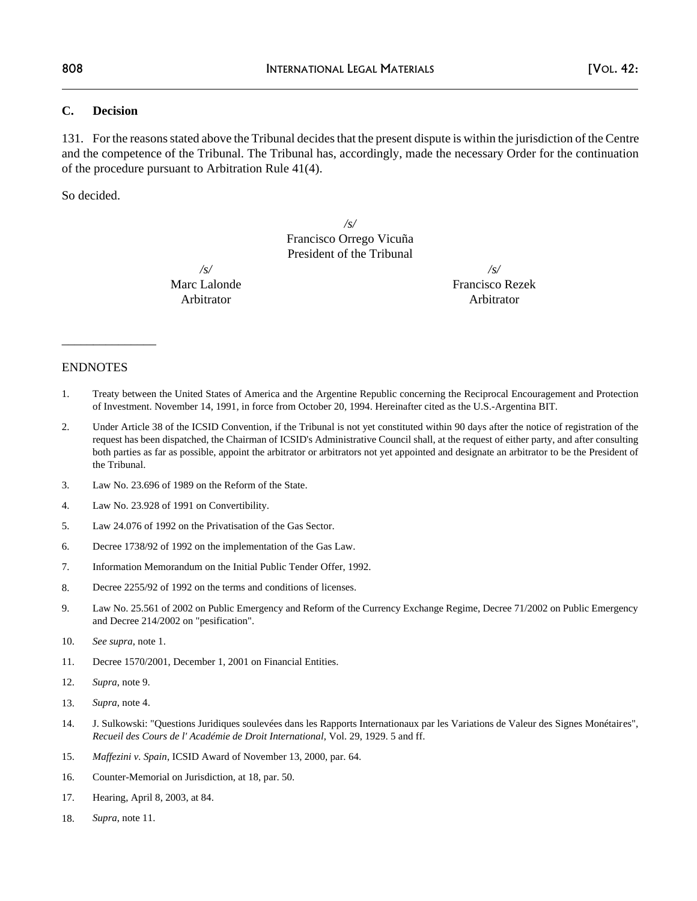#### **C. Decision**

131. For the reasons stated above the Tribunal decides that the present dispute is within the jurisdiction of the Centre and the competence of the Tribunal. The Tribunal has, accordingly, made the necessary Order for the continuation of the procedure pursuant to Arbitration Rule 41(4).

So decided.

*/s/* Francisco Orrego Vicuña President of the Tribunal

*/s/* Marc Lalonde Arbitrator

*/s/* Francisco Rezek Arbitrator

#### **ENDNOTES**

\_\_\_\_\_\_\_\_\_\_\_\_\_\_\_

- 1. Treaty between the United States of America and the Argentine Republic concerning the Reciprocal Encouragement and Protection of Investment. November 14, 1991, in force from October 20, 1994. Hereinafter cited as the U.S.-Argentina BIT.
- 2. Under Article 38 of the ICSID Convention, if the Tribunal is not yet constituted within 90 days after the notice of registration of the request has been dispatched, the Chairman of ICSID's Administrative Council shall, at the request of either party, and after consulting both parties as far as possible, appoint the arbitrator or arbitrators not yet appointed and designate an arbitrator to be the President of the Tribunal.
- 3. Law No. 23.696 of 1989 on the Reform of the State.
- 4. Law No. 23.928 of 1991 on Convertibility.
- 5. Law 24.076 of 1992 on the Privatisation of the Gas Sector.
- 6. Decree 1738/92 of 1992 on the implementation of the Gas Law.
- 7. Information Memorandum on the Initial Public Tender Offer, 1992.
- 8. Decree 2255/92 of 1992 on the terms and conditions of licenses.
- 9. Law No. 25.561 of 2002 on Public Emergency and Reform of the Currency Exchange Regime, Decree 71/2002 on Public Emergency and Decree 214/2002 on "pesification".
- 10. *See supra*, note 1.
- 11. Decree 1570/2001, December 1, 2001 on Financial Entities.
- 12. *Supra*, note 9.
- 13. *Supra*, note 4.
- 14. J. Sulkowski: "Questions Juridiques soulevées dans les Rapports Internationaux par les Variations de Valeur des Signes Monétaires", *Recueil des Cours de l' Académie de Droit International*, Vol. 29, 1929. 5 and ff.
- 15. *Maffezini v. Spain*, ICSID Award of November 13, 2000, par. 64.
- 16. Counter-Memorial on Jurisdiction, at 18, par. 50.
- 17. Hearing, April 8, 2003, at 84.
- 18. *Supra*, note 11.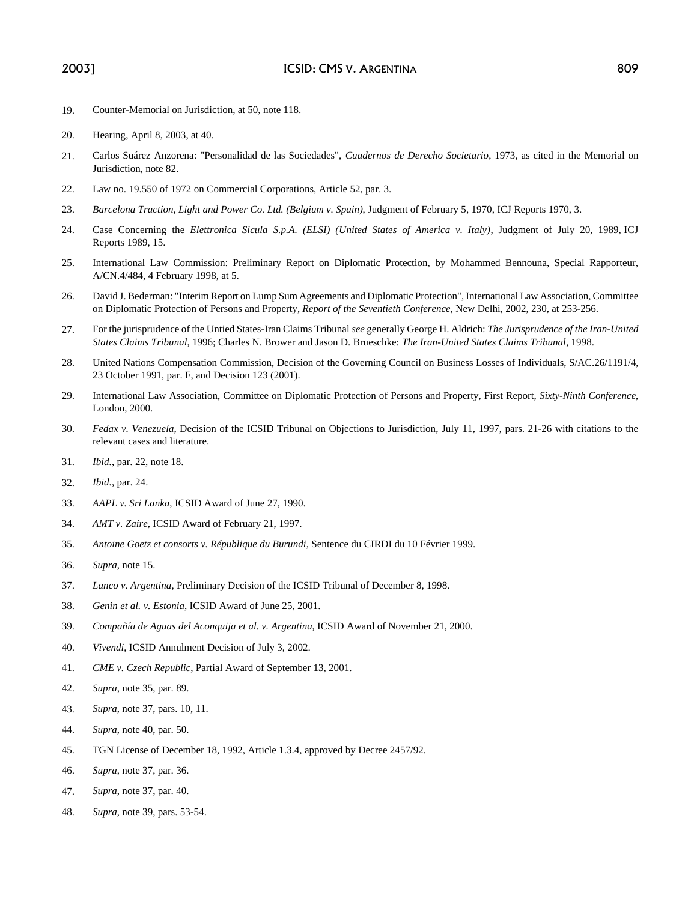- 19. Counter-Memorial on Jurisdiction, at 50, note 118.
- 20. Hearing, April 8, 2003, at 40.
- 21. Carlos Suárez Anzorena: "Personalidad de las Sociedades", *Cuadernos de Derecho Societario*, 1973, as cited in the Memorial on Jurisdiction, note 82.
- 22. Law no. 19.550 of 1972 on Commercial Corporations, Article 52, par. 3.
- 23. *Barcelona Traction, Light and Power Co. Ltd. (Belgium v. Spain)*, Judgment of February 5, 1970, ICJ Reports 1970, 3.
- 24. Case Concerning the *Elettronica Sicula S.p.A. (ELSI) (United States of America v. Italy)*, Judgment of July 20, 1989, ICJ Reports 1989, 15.
- 25. International Law Commission: Preliminary Report on Diplomatic Protection, by Mohammed Bennouna, Special Rapporteur, A/CN.4/484, 4 February 1998, at 5.
- 26. David J. Bederman: "Interim Report on Lump Sum Agreements and Diplomatic Protection", International Law Association, Committee on Diplomatic Protection of Persons and Property, *Report of the Seventieth Conference*, New Delhi, 2002, 230, at 253-256.
- 27. For the jurisprudence of the Untied States-Iran Claims Tribunal *see* generally George H. Aldrich: *The Jurisprudence of the Iran-United States Claims Tribunal*, 1996; Charles N. Brower and Jason D. Brueschke: *The Iran-United States Claims Tribunal*, 1998.
- 28. United Nations Compensation Commission, Decision of the Governing Council on Business Losses of Individuals, S/AC.26/1191/4, 23 October 1991, par. F, and Decision 123 (2001).
- 29. International Law Association, Committee on Diplomatic Protection of Persons and Property, First Report, *Sixty-Ninth Conference*, London, 2000.
- 30. *Fedax v. Venezuela*, Decision of the ICSID Tribunal on Objections to Jurisdiction, July 11, 1997, pars. 21-26 with citations to the relevant cases and literature.
- 31. *Ibid.*, par. 22, note 18.
- 32. *Ibid.*, par. 24.
- 33. *AAPL v. Sri Lanka*, ICSID Award of June 27, 1990.
- 34. *AMT v. Zaire*, ICSID Award of February 21, 1997.
- 35. *Antoine Goetz et consorts v. République du Burundi*, Sentence du CIRDI du 10 Février 1999.
- 36. *Supra*, note 15.
- 37. *Lanco v. Argentina*, Preliminary Decision of the ICSID Tribunal of December 8, 1998.
- 38. *Genin et al. v. Estonia*, ICSID Award of June 25, 2001.
- 39. *Compañía de Aguas del Aconquija et al. v. Argentina*, ICSID Award of November 21, 2000.
- 40. *Vivendi*, ICSID Annulment Decision of July 3, 2002.
- 41. *CME v. Czech Republic*, Partial Award of September 13, 2001.
- 42. *Supra*, note 35, par. 89.
- 43. *Supra*, note 37, pars. 10, 11.
- 44. *Supra*, note 40, par. 50.
- 45. TGN License of December 18, 1992, Article 1.3.4, approved by Decree 2457/92.
- 46. *Supra*, note 37, par. 36.
- 47. *Supra*, note 37, par. 40.
- 48. *Supra*, note 39, pars. 53-54.